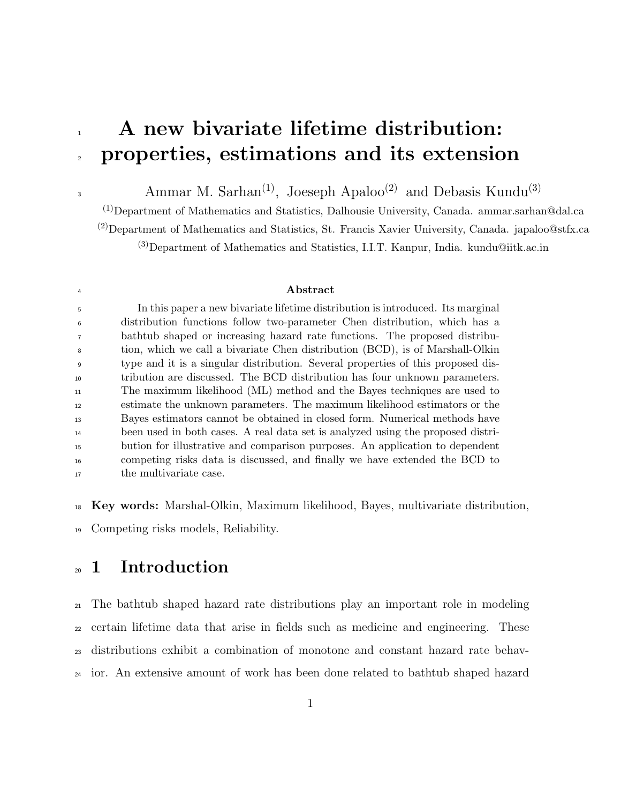# 1 A new bivariate lifetime distribution: properties, estimations and its extension

Ammar M. Sarhan<sup>(1)</sup>, Joeseph Apaloo<sup>(2)</sup> and Debasis Kundu<sup>(3)</sup>

(1)Department of Mathematics and Statistics, Dalhousie University, Canada. ammar.sarhan@dal.ca

<sup>(2)</sup>Department of Mathematics and Statistics, St. Francis Xavier University, Canada. japaloo@stfx.ca

(3)Department of Mathematics and Statistics, I.I.T. Kanpur, India. kundu@iitk.ac.in

#### <sup>4</sup> Abstract

 In this paper a new bivariate lifetime distribution is introduced. Its marginal distribution functions follow two-parameter Chen distribution, which has a bathtub shaped or increasing hazard rate functions. The proposed distribu- tion, which we call a bivariate Chen distribution (BCD), is of Marshall-Olkin type and it is a singular distribution. Several properties of this proposed dis- tribution are discussed. The BCD distribution has four unknown parameters. The maximum likelihood (ML) method and the Bayes techniques are used to estimate the unknown parameters. The maximum likelihood estimators or the Bayes estimators cannot be obtained in closed form. Numerical methods have been used in both cases. A real data set is analyzed using the proposed distri- bution for illustrative and comparison purposes. An application to dependent competing risks data is discussed, and finally we have extended the BCD to 17 the multivariate case.

Key words: Marshal-Olkin, Maximum likelihood, Bayes, multivariate distribution,

Competing risks models, Reliability.

# 1 Introduction

 The bathtub shaped hazard rate distributions play an important role in modeling certain lifetime data that arise in fields such as medicine and engineering. These distributions exhibit a combination of monotone and constant hazard rate behav-ior. An extensive amount of work has been done related to bathtub shaped hazard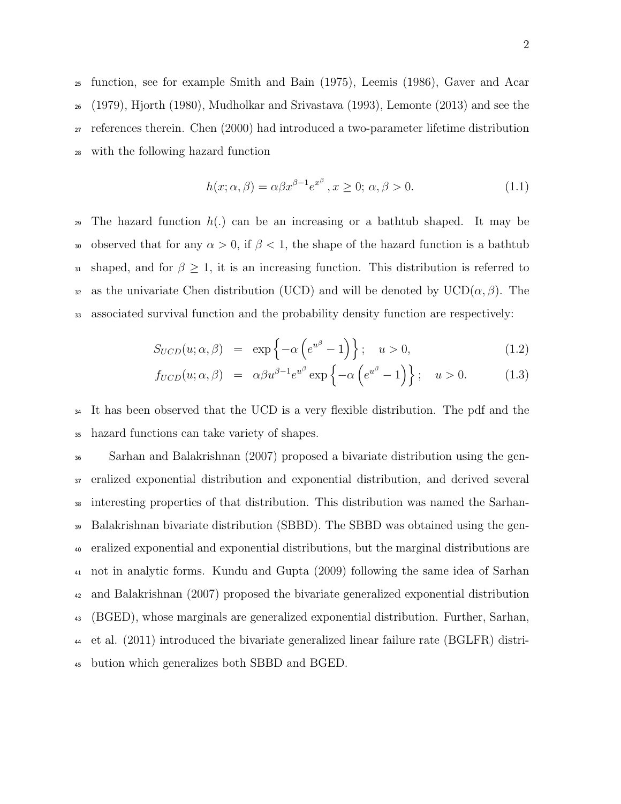function, see for example Smith and Bain (1975), Leemis (1986), Gaver and Acar (1979), Hjorth (1980), Mudholkar and Srivastava (1993), Lemonte (2013) and see the references therein. Chen (2000) had introduced a two-parameter lifetime distribution with the following hazard function

$$
h(x; \alpha, \beta) = \alpha \beta x^{\beta - 1} e^{x^{\beta}}, x \ge 0; \alpha, \beta > 0.
$$
 (1.1)

<sup>29</sup> The hazard function  $h(.)$  can be an increasing or a bathtub shaped. It may be 30 observed that for any  $\alpha > 0$ , if  $\beta < 1$ , the shape of the hazard function is a bathtub 31 shaped, and for  $\beta \geq 1$ , it is an increasing function. This distribution is referred to 32 as the univariate Chen distribution (UCD) and will be denoted by  $UCD(\alpha, \beta)$ . The <sup>33</sup> associated survival function and the probability density function are respectively:

$$
S_{UCD}(u; \alpha, \beta) = \exp\left\{-\alpha \left(e^{u^{\beta}} - 1\right)\right\}; \quad u > 0,
$$
\n(1.2)

$$
f_{UCD}(u; \alpha, \beta) = \alpha \beta u^{\beta - 1} e^{u^{\beta}} \exp \left\{ -\alpha \left( e^{u^{\beta}} - 1 \right) \right\}; \quad u > 0. \quad (1.3)
$$

<sup>34</sup> It has been observed that the UCD is a very flexible distribution. The pdf and the <sup>35</sup> hazard functions can take variety of shapes.

 Sarhan and Balakrishnan (2007) proposed a bivariate distribution using the gen- eralized exponential distribution and exponential distribution, and derived several interesting properties of that distribution. This distribution was named the Sarhan- Balakrishnan bivariate distribution (SBBD). The SBBD was obtained using the gen- eralized exponential and exponential distributions, but the marginal distributions are not in analytic forms. Kundu and Gupta (2009) following the same idea of Sarhan and Balakrishnan (2007) proposed the bivariate generalized exponential distribution (BGED), whose marginals are generalized exponential distribution. Further, Sarhan, et al. (2011) introduced the bivariate generalized linear failure rate (BGLFR) distri-bution which generalizes both SBBD and BGED.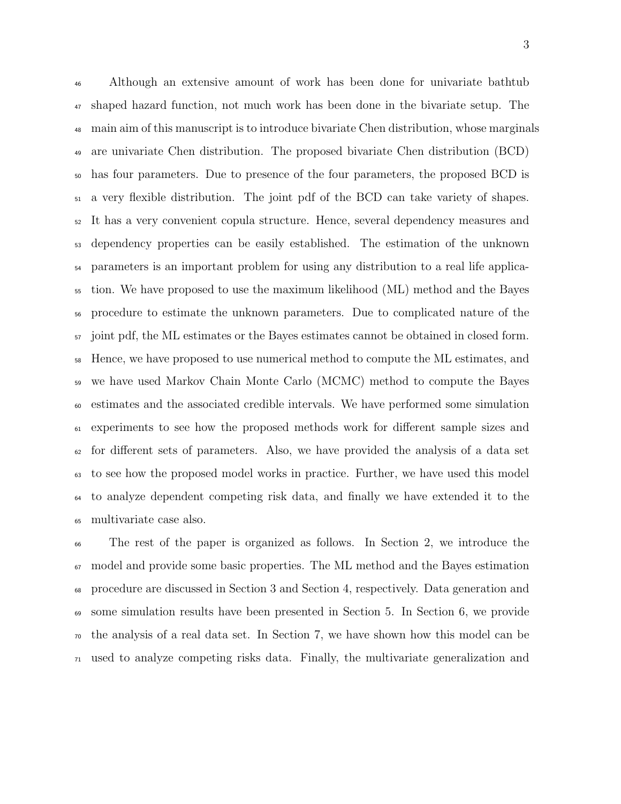Although an extensive amount of work has been done for univariate bathtub shaped hazard function, not much work has been done in the bivariate setup. The main aim of this manuscript is to introduce bivariate Chen distribution, whose marginals are univariate Chen distribution. The proposed bivariate Chen distribution (BCD) has four parameters. Due to presence of the four parameters, the proposed BCD is a very flexible distribution. The joint pdf of the BCD can take variety of shapes. It has a very convenient copula structure. Hence, several dependency measures and dependency properties can be easily established. The estimation of the unknown parameters is an important problem for using any distribution to a real life applica- tion. We have proposed to use the maximum likelihood (ML) method and the Bayes procedure to estimate the unknown parameters. Due to complicated nature of the <sub>57</sub> joint pdf, the ML estimates or the Bayes estimates cannot be obtained in closed form. Hence, we have proposed to use numerical method to compute the ML estimates, and we have used Markov Chain Monte Carlo (MCMC) method to compute the Bayes estimates and the associated credible intervals. We have performed some simulation experiments to see how the proposed methods work for different sample sizes and  $\epsilon_2$  for different sets of parameters. Also, we have provided the analysis of a data set to see how the proposed model works in practice. Further, we have used this model to analyze dependent competing risk data, and finally we have extended it to the multivariate case also.

 The rest of the paper is organized as follows. In Section 2, we introduce the  $\sigma$  model and provide some basic properties. The ML method and the Bayes estimation procedure are discussed in Section 3 and Section 4, respectively. Data generation and some simulation results have been presented in Section 5. In Section 6, we provide the analysis of a real data set. In Section 7, we have shown how this model can be used to analyze competing risks data. Finally, the multivariate generalization and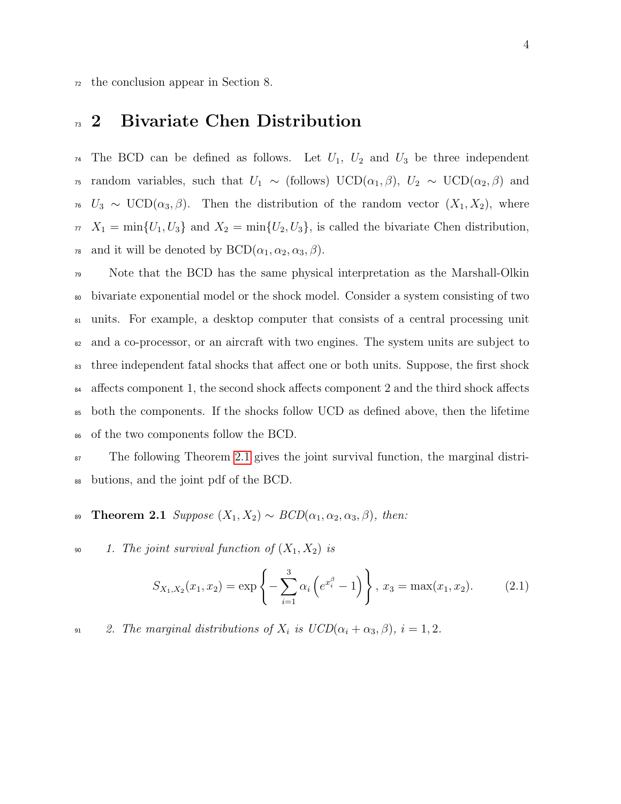<sup>72</sup> the conclusion appear in Section 8.

### <sup>33</sup> 2 Bivariate Chen Distribution

<sup>74</sup> The BCD can be defined as follows. Let  $U_1$ ,  $U_2$  and  $U_3$  be three independent <sup>75</sup> random variables, such that  $U_1 \sim$  (follows) UCD( $\alpha_1, \beta$ ),  $U_2 \sim$  UCD( $\alpha_2, \beta$ ) and <sup>76</sup>  $U_3 \sim \text{UCD}(\alpha_3, \beta)$ . Then the distribution of the random vector  $(X_1, X_2)$ , where  $\pi$   $X_1 = \min\{U_1, U_3\}$  and  $X_2 = \min\{U_2, U_3\}$ , is called the bivariate Chen distribution, <sup>78</sup> and it will be denoted by  $BCD(\alpha_1, \alpha_2, \alpha_3, \beta)$ .

 Note that the BCD has the same physical interpretation as the Marshall-Olkin bivariate exponential model or the shock model. Consider a system consisting of two units. For example, a desktop computer that consists of a central processing unit and a co-processor, or an aircraft with two engines. The system units are subject to <sup>83</sup> three independent fatal shocks that affect one or both units. Suppose, the first shock affects component 1, the second shock affects component 2 and the third shock affects both the components. If the shocks follow UCD as defined above, then the lifetime of the two components follow the BCD.

<sup>87</sup> The following Theorem [2.1](#page-3-0) gives the joint survival function, the marginal distri-<sup>88</sup> butions, and the joint pdf of the BCD.

89 Theorem 2.1 Suppose  $(X_1, X_2) \sim BCD(\alpha_1, \alpha_2, \alpha_3, \beta)$ , then:

90 1. The joint survival function of  $(X_1, X_2)$  is

<span id="page-3-1"></span><span id="page-3-0"></span>
$$
S_{X_1,X_2}(x_1,x_2) = \exp\left\{-\sum_{i=1}^3 \alpha_i \left(e^{x_i^{\beta}} - 1\right)\right\}, x_3 = \max(x_1,x_2). \tag{2.1}
$$

91 2. The marginal distributions of  $X_i$  is  $UCD(\alpha_i + \alpha_3, \beta), i = 1, 2$ .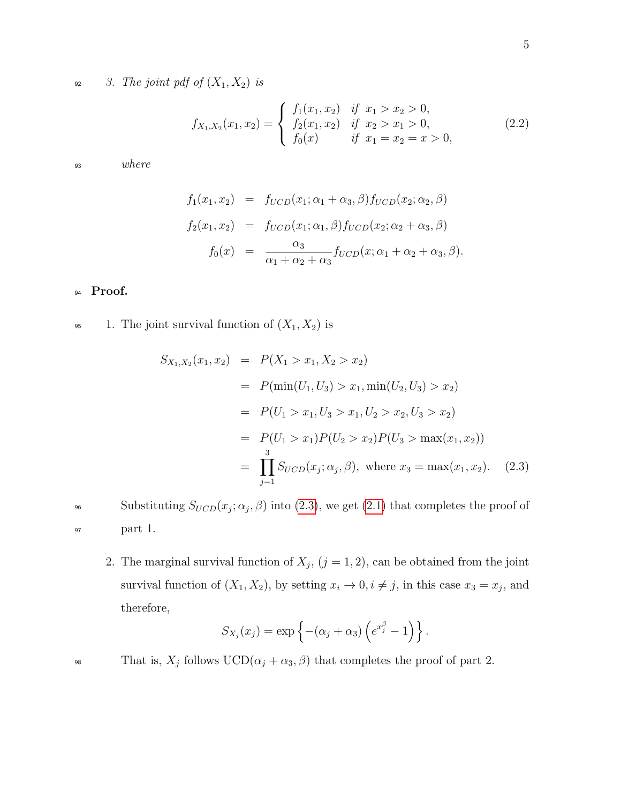92 3. The joint pdf of  $(X_1, X_2)$  is

$$
f_{X_1,X_2}(x_1,x_2) = \begin{cases} f_1(x_1,x_2) & \text{if } x_1 > x_2 > 0, \\ f_2(x_1,x_2) & \text{if } x_2 > x_1 > 0, \\ f_0(x) & \text{if } x_1 = x_2 = x > 0, \end{cases}
$$
(2.2)

<sup>93</sup> where

$$
f_1(x_1, x_2) = f_{UCD}(x_1; \alpha_1 + \alpha_3, \beta) f_{UCD}(x_2; \alpha_2, \beta)
$$
  
\n
$$
f_2(x_1, x_2) = f_{UCD}(x_1; \alpha_1, \beta) f_{UCD}(x_2; \alpha_2 + \alpha_3, \beta)
$$
  
\n
$$
f_0(x) = \frac{\alpha_3}{\alpha_1 + \alpha_2 + \alpha_3} f_{UCD}(x; \alpha_1 + \alpha_2 + \alpha_3, \beta).
$$

#### 94 Proof.

95 1. The joint survival function of  $(X_1, X_2)$  is

<span id="page-4-0"></span>
$$
S_{X_1,X_2}(x_1, x_2) = P(X_1 > x_1, X_2 > x_2)
$$
  
=  $P(\min(U_1, U_3) > x_1, \min(U_2, U_3) > x_2)$   
=  $P(U_1 > x_1, U_3 > x_1, U_2 > x_2, U_3 > x_2)$   
=  $P(U_1 > x_1)P(U_2 > x_2)P(U_3 > \max(x_1, x_2))$   
=  $\prod_{j=1}^3 S_{UCD}(x_j; \alpha_j, \beta)$ , where  $x_3 = \max(x_1, x_2)$ . (2.3)

Substituting  $S_{UCD}(x_j; \alpha_j, \beta)$  into [\(2.3\)](#page-4-0), we get [\(2.1\)](#page-3-1) that completes the proof of <sup>97</sup> part 1.

2. The marginal survival function of  $X_j$ ,  $(j = 1, 2)$ , can be obtained from the joint survival function of  $(X_1, X_2)$ , by setting  $x_i \to 0, i \neq j$ , in this case  $x_3 = x_j$ , and therefore,

$$
S_{X_j}(x_j) = \exp\left\{-(\alpha_j + \alpha_3)\left(e^{x_j^{\beta}} - 1\right)\right\}.
$$

That is,  $X_j$  follows  $UCD(\alpha_j + \alpha_3, \beta)$  that completes the proof of part 2.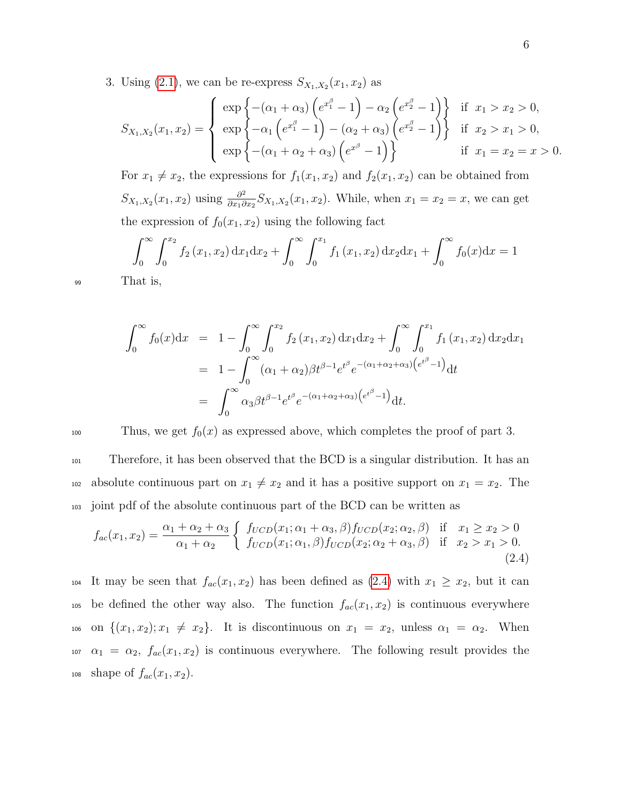3. Using  $(2.1)$ , we can be re-express  $S_{X_1,X_2}(x_1,x_2)$  as

$$
S_{X_1,X_2}(x_1,x_2) = \begin{cases} \exp \left\{ -(\alpha_1 + \alpha_3) \left( e^{x_1^{\beta}} - 1 \right) - \alpha_2 \left( e^{x_2^{\beta}} - 1 \right) \right\} & \text{if } x_1 > x_2 > 0, \\ \exp \left\{ -\alpha_1 \left( e^{x_1^{\beta}} - 1 \right) - (\alpha_2 + \alpha_3) \left( e^{x_2^{\beta}} - 1 \right) \right\} & \text{if } x_2 > x_1 > 0, \\ \exp \left\{ -(\alpha_1 + \alpha_2 + \alpha_3) \left( e^{x^{\beta}} - 1 \right) \right\} & \text{if } x_1 = x_2 = x > 0. \end{cases}
$$

For  $x_1 \neq x_2$ , the expressions for  $f_1(x_1, x_2)$  and  $f_2(x_1, x_2)$  can be obtained from  $S_{X_1,X_2}(x_1,x_2)$  using  $\frac{\partial^2}{\partial x_1 \partial y_2}$  $\frac{\partial^2}{\partial x_1 \partial x_2} S_{X_1, X_2}(x_1, x_2)$ . While, when  $x_1 = x_2 = x$ , we can get the expression of  $f_0(x_1, x_2)$  using the following fact

$$
\int_0^\infty \int_0^{x_2} f_2(x_1, x_2) dx_1 dx_2 + \int_0^\infty \int_0^{x_1} f_1(x_1, x_2) dx_2 dx_1 + \int_0^\infty f_0(x) dx = 1
$$

<sup>99</sup> That is,

$$
\int_0^\infty f_0(x) dx = 1 - \int_0^\infty \int_0^{x_2} f_2(x_1, x_2) dx_1 dx_2 + \int_0^\infty \int_0^{x_1} f_1(x_1, x_2) dx_2 dx_1
$$
  
=  $1 - \int_0^\infty (\alpha_1 + \alpha_2) \beta t^{\beta - 1} e^{t^\beta} e^{-(\alpha_1 + \alpha_2 + \alpha_3) (e^{t^\beta} - 1)} dt$   
=  $\int_0^\infty \alpha_3 \beta t^{\beta - 1} e^{t^\beta} e^{-(\alpha_1 + \alpha_2 + \alpha_3) (e^{t^\beta} - 1)} dt.$ 

100 Thus, we get  $f_0(x)$  as expressed above, which completes the proof of part 3.

<sup>101</sup> Therefore, it has been observed that the BCD is a singular distribution. It has an 102 absolute continuous part on  $x_1 \neq x_2$  and it has a positive support on  $x_1 = x_2$ . The <sup>103</sup> joint pdf of the absolute continuous part of the BCD can be written as

<span id="page-5-0"></span>
$$
f_{ac}(x_1, x_2) = \frac{\alpha_1 + \alpha_2 + \alpha_3}{\alpha_1 + \alpha_2} \left\{ \begin{array}{ll} f_{UCD}(x_1; \alpha_1 + \alpha_3, \beta) f_{UCD}(x_2; \alpha_2, \beta) & \text{if } x_1 \ge x_2 > 0\\ f_{UCD}(x_1; \alpha_1, \beta) f_{UCD}(x_2; \alpha_2 + \alpha_3, \beta) & \text{if } x_2 > x_1 > 0. \end{array} \right. \tag{2.4}
$$

104 It may be seen that  $f_{ac}(x_1, x_2)$  has been defined as  $(2.4)$  with  $x_1 \ge x_2$ , but it can 105 be defined the other way also. The function  $f_{ac}(x_1, x_2)$  is continuous everywhere 106 on  $\{(x_1, x_2); x_1 \neq x_2\}$ . It is discontinuous on  $x_1 = x_2$ , unless  $\alpha_1 = \alpha_2$ . When 107  $\alpha_1 = \alpha_2$ ,  $f_{ac}(x_1, x_2)$  is continuous everywhere. The following result provides the 108 shape of  $f_{ac}(x_1, x_2)$ .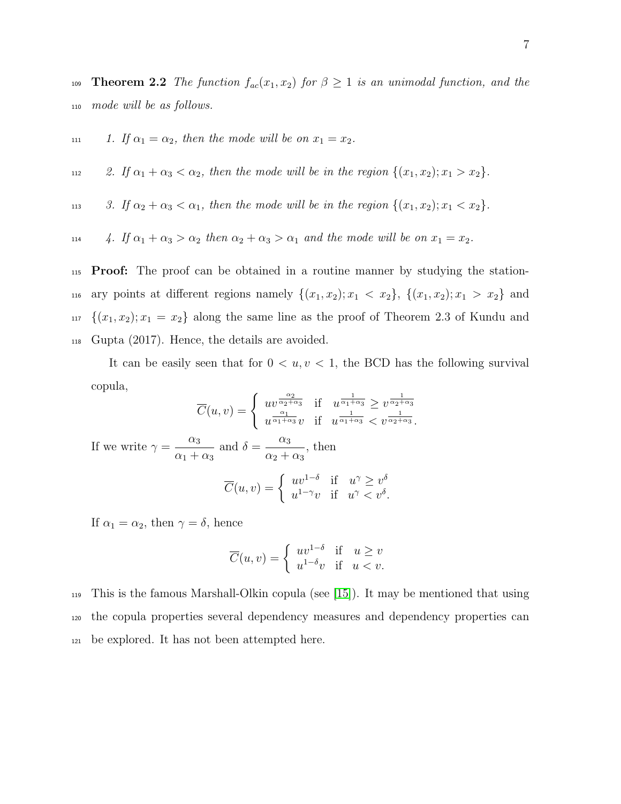109 **Theorem 2.2** The function  $f_{ac}(x_1, x_2)$  for  $\beta \geq 1$  is an unimodal function, and the <sup>110</sup> mode will be as follows.

$$
111 \t1. If  $\alpha_1 = \alpha_2$ , then the mode will be on  $x_1 = x_2$ .
$$

112 2. If  $\alpha_1 + \alpha_3 < \alpha_2$ , then the mode will be in the region  $\{(x_1, x_2); x_1 > x_2\}$ .

113 3. If  $\alpha_2 + \alpha_3 < \alpha_1$ , then the mode will be in the region  $\{(x_1, x_2); x_1 < x_2\}$ .

114 4. If  $\alpha_1 + \alpha_3 > \alpha_2$  then  $\alpha_2 + \alpha_3 > \alpha_1$  and the mode will be on  $x_1 = x_2$ .

<sup>115</sup> Proof: The proof can be obtained in a routine manner by studying the station-116 ary points at different regions namely  $\{(x_1, x_2); x_1 < x_2\}, \{(x_1, x_2); x_1 > x_2\}$  and <sup>117</sup>  ${(x_1, x_2); x_1 = x_2}$  along the same line as the proof of Theorem 2.3 of Kundu and <sup>118</sup> Gupta (2017). Hence, the details are avoided.

It can be easily seen that for  $0 < u, v < 1$ , the BCD has the following survival copula, 1

$$
\overline{C}(u,v) = \begin{cases} uv^{\frac{\alpha_2}{\alpha_2 + \alpha_3}} & \text{if } u^{\frac{1}{\alpha_1 + \alpha_3}} \ge v^{\frac{1}{\alpha_2 + \alpha_3}} \\ u^{\frac{\alpha_1}{\alpha_1 + \alpha_3}}v & \text{if } u^{\frac{1}{\alpha_1 + \alpha_3}} < v^{\frac{1}{\alpha_2 + \alpha_3}}. \end{cases}
$$
  
If we write  $\gamma = \frac{\alpha_3}{\alpha_1 + \alpha_3}$  and  $\delta = \frac{\alpha_3}{\alpha_2 + \alpha_3}$ , then  

$$
\overline{C}(u,v) = \begin{cases} uv^{1-\delta} & \text{if } u^{\gamma} \ge v^{\delta} \\ u^{1-\gamma}v & \text{if } u^{\gamma} < v^{\delta}. \end{cases}
$$

If  $\alpha_1 = \alpha_2$ , then  $\gamma = \delta$ , hence

$$
\overline{C}(u,v) = \begin{cases} uv^{1-\delta} & \text{if } u \ge v \\ u^{1-\delta}v & \text{if } u < v. \end{cases}
$$

<sup>119</sup> This is the famous Marshall-Olkin copula (see [\[15\]](#page-27-0)). It may be mentioned that using <sup>120</sup> the copula properties several dependency measures and dependency properties can <sup>121</sup> be explored. It has not been attempted here.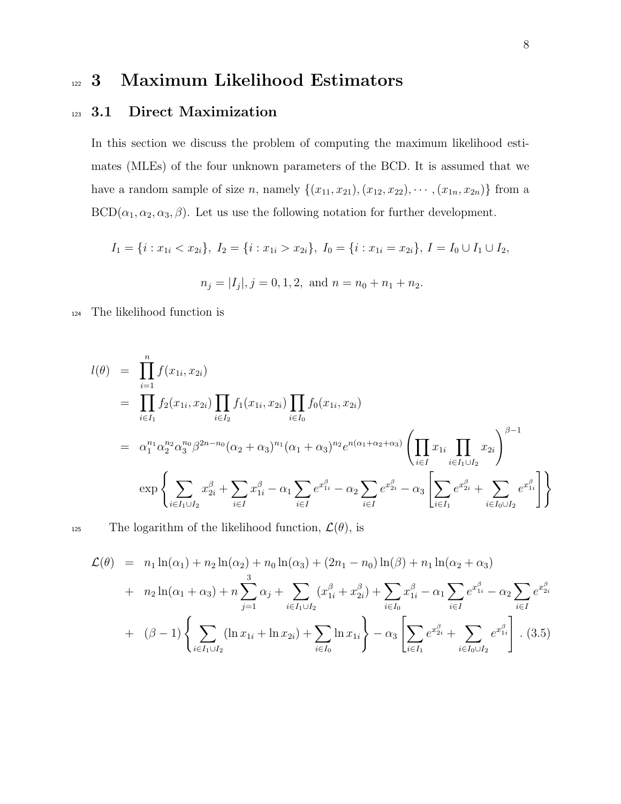# <sup>122</sup> 3 Maximum Likelihood Estimators

#### 123 3.1 Direct Maximization

In this section we discuss the problem of computing the maximum likelihood estimates (MLEs) of the four unknown parameters of the BCD. It is assumed that we have a random sample of size *n*, namely  $\{(x_{11}, x_{21}), (x_{12}, x_{22}), \cdots, (x_{1n}, x_{2n})\}$  from a  $BCD(\alpha_1, \alpha_2, \alpha_3, \beta)$ . Let us use the following notation for further development.

$$
I_1 = \{i : x_{1i} < x_{2i}\}, \ I_2 = \{i : x_{1i} > x_{2i}\}, \ I_0 = \{i : x_{1i} = x_{2i}\}, \ I = I_0 \cup I_1 \cup I_2,
$$
\n
$$
n_j = |I_j|, j = 0, 1, 2, \text{ and } n = n_0 + n_1 + n_2.
$$

<sup>124</sup> The likelihood function is

<span id="page-7-0"></span>
$$
l(\theta) = \prod_{i=1}^{n} f(x_{1i}, x_{2i})
$$
  
\n
$$
= \prod_{i \in I_1} f_2(x_{1i}, x_{2i}) \prod_{i \in I_2} f_1(x_{1i}, x_{2i}) \prod_{i \in I_0} f_0(x_{1i}, x_{2i})
$$
  
\n
$$
= \alpha_1^{n_1} \alpha_2^{n_2} \alpha_3^{n_0} \beta^{2n - n_0} (\alpha_2 + \alpha_3)^{n_1} (\alpha_1 + \alpha_3)^{n_2} e^{n(\alpha_1 + \alpha_2 + \alpha_3)} \left( \prod_{i \in I} x_{1i} \prod_{i \in I_1 \cup I_2} x_{2i} \right)^{\beta - 1}
$$
  
\n
$$
\exp \left\{ \sum_{i \in I_1 \cup I_2} x_{2i}^{\beta} + \sum_{i \in I} x_{1i}^{\beta} - \alpha_1 \sum_{i \in I} e^{x_{1i}^{\beta}} - \alpha_2 \sum_{i \in I} e^{x_{2i}^{\beta}} - \alpha_3 \left[ \sum_{i \in I_1} e^{x_{2i}^{\beta}} + \sum_{i \in I_0 \cup I_2} e^{x_{1i}^{\beta}} \right] \right\}
$$

125 The logarithm of the likelihood function,  $\mathcal{L}(\theta)$ , is

$$
\mathcal{L}(\theta) = n_1 \ln(\alpha_1) + n_2 \ln(\alpha_2) + n_0 \ln(\alpha_3) + (2n_1 - n_0) \ln(\beta) + n_1 \ln(\alpha_2 + \alpha_3)
$$
  
+  $n_2 \ln(\alpha_1 + \alpha_3) + n \sum_{j=1}^3 \alpha_j + \sum_{i \in I_1 \cup I_2} (x_{1i}^\beta + x_{2i}^\beta) + \sum_{i \in I_0} x_{1i}^\beta - \alpha_1 \sum_{i \in I} e^{x_{1i}^\beta} - \alpha_2 \sum_{i \in I} e^{x_{2i}^\beta}$   
+  $(\beta - 1) \left\{ \sum_{i \in I_1 \cup I_2} (\ln x_{1i} + \ln x_{2i}) + \sum_{i \in I_0} \ln x_{1i} \right\} - \alpha_3 \left[ \sum_{i \in I_1} e^{x_{2i}^\beta} + \sum_{i \in I_0 \cup I_2} e^{x_{1i}^\beta} \right] \cdot (3.5)$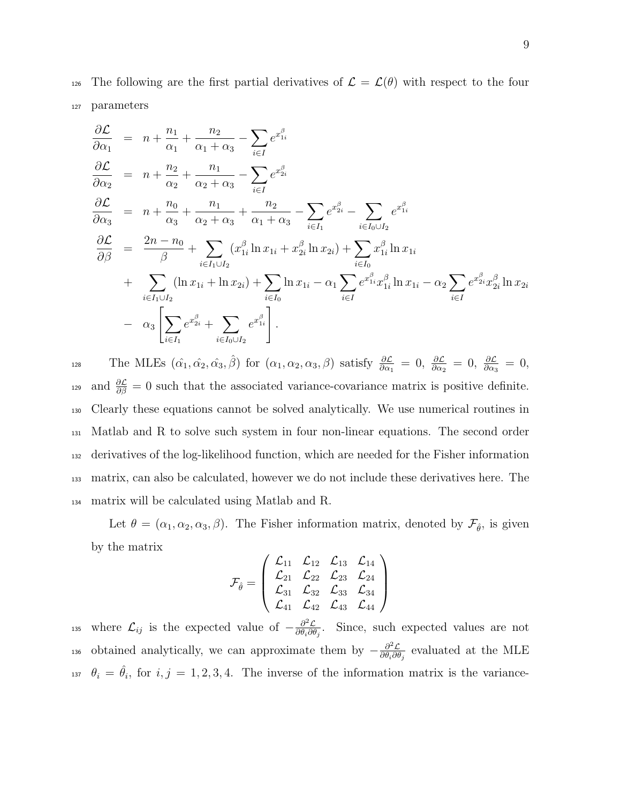126 The following are the first partial derivatives of  $\mathcal{L} = \mathcal{L}(\theta)$  with respect to the four <sup>127</sup> parameters

$$
\frac{\partial \mathcal{L}}{\partial \alpha_1} = n + \frac{n_1}{\alpha_1} + \frac{n_2}{\alpha_1 + \alpha_3} - \sum_{i \in I} e^{x_{1i}^{\beta}}
$$
\n
$$
\frac{\partial \mathcal{L}}{\partial \alpha_2} = n + \frac{n_2}{\alpha_2} + \frac{n_1}{\alpha_2 + \alpha_3} - \sum_{i \in I} e^{x_{2i}^{\beta}}
$$
\n
$$
\frac{\partial \mathcal{L}}{\partial \alpha_3} = n + \frac{n_0}{\alpha_3} + \frac{n_1}{\alpha_2 + \alpha_3} + \frac{n_2}{\alpha_1 + \alpha_3} - \sum_{i \in I_1} e^{x_{2i}^{\beta}} - \sum_{i \in I_0 \cup I_2} e^{x_{1i}^{\beta}}
$$
\n
$$
\frac{\partial \mathcal{L}}{\partial \beta} = \frac{2n - n_0}{\beta} + \sum_{i \in I_1 \cup I_2} (x_{1i}^{\beta} \ln x_{1i} + x_{2i}^{\beta} \ln x_{2i}) + \sum_{i \in I_0} x_{1i}^{\beta} \ln x_{1i}
$$
\n
$$
+ \sum_{i \in I_1 \cup I_2} (\ln x_{1i} + \ln x_{2i}) + \sum_{i \in I_0} \ln x_{1i} - \alpha_1 \sum_{i \in I} e^{x_{1i}^{\beta}} x_{1i}^{\beta} \ln x_{1i} - \alpha_2 \sum_{i \in I} e^{x_{2i}^{\beta}} x_{2i}^{\beta} \ln x_{2i}
$$
\n
$$
- \alpha_3 \left[ \sum_{i \in I_1} e^{x_{2i}^{\beta}} + \sum_{i \in I_0 \cup I_2} e^{x_{1i}^{\beta}} \right].
$$

128 The MLEs  $(\hat{\alpha_1}, \hat{\alpha_2}, \hat{\alpha_3}, \hat{\beta})$  for  $(\alpha_1, \alpha_2, \alpha_3, \beta)$  satisfy  $\frac{\partial \mathcal{L}}{\partial \alpha_1} = 0$ ,  $\frac{\partial \mathcal{L}}{\partial \alpha_2} = 0$ ,  $\frac{\partial \mathcal{L}}{\partial \alpha_3} = 0$ , and  $\frac{\partial \mathcal{L}}{\partial \beta} = 0$  such that the associated variance-covariance matrix is positive definite. Clearly these equations cannot be solved analytically. We use numerical routines in Matlab and R to solve such system in four non-linear equations. The second order derivatives of the log-likelihood function, which are needed for the Fisher information matrix, can also be calculated, however we do not include these derivatives here. The matrix will be calculated using Matlab and R.

Let  $\theta = (\alpha_1, \alpha_2, \alpha_3, \beta)$ . The Fisher information matrix, denoted by  $\mathcal{F}_{\hat{\theta}}$ , is given by the matrix

$$
\mathcal{F}_{\hat{\theta}} = \left(\begin{array}{cccc} \mathcal{L}_{11} & \mathcal{L}_{12} & \mathcal{L}_{13} & \mathcal{L}_{14} \\ \mathcal{L}_{21} & \mathcal{L}_{22} & \mathcal{L}_{23} & \mathcal{L}_{24} \\ \mathcal{L}_{31} & \mathcal{L}_{32} & \mathcal{L}_{33} & \mathcal{L}_{34} \\ \mathcal{L}_{41} & \mathcal{L}_{42} & \mathcal{L}_{43} & \mathcal{L}_{44} \end{array}\right)
$$

where  $\mathcal{L}_{ij}$  is the expected value of  $-\frac{\partial^2 \mathcal{L}}{\partial \theta_i \partial \theta_j}$ <sup>135</sup> where  $\mathcal{L}_{ij}$  is the expected value of  $-\frac{\partial^2 \mathcal{L}}{\partial \theta_i \partial \theta_j}$ . Since, such expected values are not obtained analytically, we can approximate them by  $-\frac{\partial^2 \mathcal{L}}{\partial \theta \cdot \partial \theta}$ <sup>136</sup> obtained analytically, we can approximate them by  $-\frac{\partial^2 \mathcal{L}}{\partial \theta_i \partial \theta_j}$  evaluated at the MLE <sup>137</sup>  $\theta_i = \hat{\theta}_i$ , for  $i, j = 1, 2, 3, 4$ . The inverse of the information matrix is the variance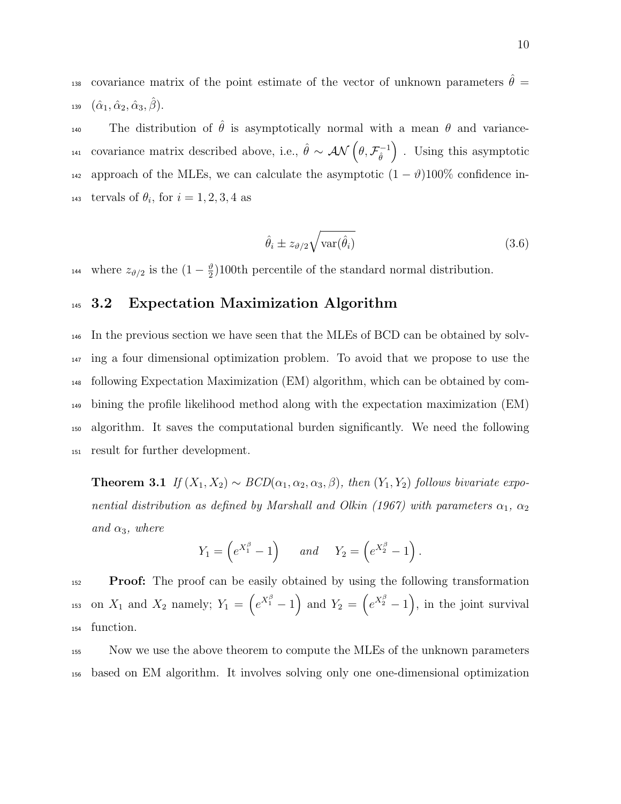<sup>138</sup> covariance matrix of the point estimate of the vector of unknown parameters  $\hat{\theta} =$ 139  $(\hat{\alpha}_1, \hat{\alpha}_2, \hat{\alpha}_3, \hat{\beta}).$ 

The distribution of  $\hat{\theta}$  is asymptotically normal with a mean  $\theta$  and variancecovariance matrix described above, i.e.,  $\hat{\theta} \sim \mathcal{AN}(\theta, \mathcal{F}_{\hat{\theta}}^{-1})$  $\hat{\theta}$ <sup>141</sup> covariance matrix described above, i.e.,  $\hat{\theta} \sim \mathcal{AN}(\theta, \mathcal{F}_{\hat{\theta}}^{-1})$ . Using this asymptotic 142 approach of the MLEs, we can calculate the asymptotic  $(1 - \vartheta)100\%$  confidence in-<sup>143</sup> tervals of  $\theta_i$ , for  $i = 1, 2, 3, 4$  as

$$
\hat{\theta}_i \pm z_{\vartheta/2} \sqrt{\text{var}(\hat{\theta}_i)}\tag{3.6}
$$

where  $z_{\vartheta/2}$  is the  $(1-\frac{\vartheta}{2})$ <sup>144</sup> where  $z_{\vartheta/2}$  is the  $(1-\frac{\vartheta}{2})100$ th percentile of the standard normal distribution.

#### <sup>145</sup> 3.2 Expectation Maximization Algorithm

 In the previous section we have seen that the MLEs of BCD can be obtained by solv- ing a four dimensional optimization problem. To avoid that we propose to use the following Expectation Maximization (EM) algorithm, which can be obtained by com- bining the profile likelihood method along with the expectation maximization (EM) algorithm. It saves the computational burden significantly. We need the following result for further development.

**Theorem 3.1** If  $(X_1, X_2) \sim BCD(\alpha_1, \alpha_2, \alpha_3, \beta)$ , then  $(Y_1, Y_2)$  follows bivariate exponential distribution as defined by Marshall and Olkin (1967) with parameters  $\alpha_1, \alpha_2$ and  $\alpha_3$ , where

$$
Y_1 = \left(e^{X_1^{\beta}} - 1\right) \quad \text{and} \quad Y_2 = \left(e^{X_2^{\beta}} - 1\right).
$$

<sup>152</sup> Proof: The proof can be easily obtained by using the following transformation <sup>153</sup> on  $X_1$  and  $X_2$  namely;  $Y_1 = \left(e^{X_1^{\beta}} - 1\right)$  and  $Y_2 = \left(e^{X_2^{\beta}} - 1\right)$ , in the joint survival <sup>154</sup> function.

<sup>155</sup> Now we use the above theorem to compute the MLEs of the unknown parameters <sup>156</sup> based on EM algorithm. It involves solving only one one-dimensional optimization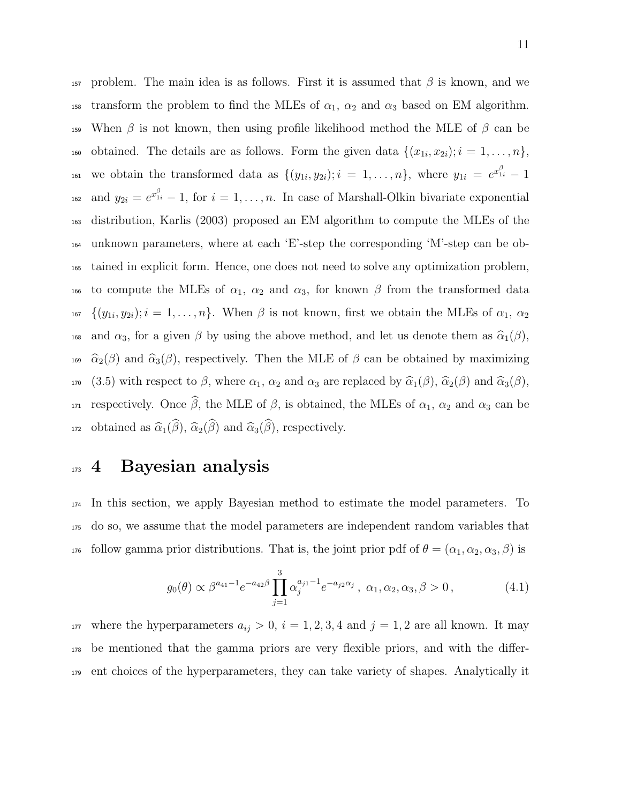157 problem. The main idea is as follows. First it is assumed that  $\beta$  is known, and we 158 transform the problem to find the MLEs of  $\alpha_1$ ,  $\alpha_2$  and  $\alpha_3$  based on EM algorithm. 159 When  $\beta$  is not known, then using profile likelihood method the MLE of  $\beta$  can be 160 obtained. The details are as follows. Form the given data  $\{(x_{1i}, x_{2i}); i = 1, \ldots, n\},\$ <sup>161</sup> we obtain the transformed data as  $\{(y_{1i}, y_{2i}); i = 1, \ldots, n\}$ , where  $y_{1i} = e^{x_{1i}^{\beta}} - 1$ <sup>162</sup> and  $y_{2i} = e^{x_{1i}^{\beta}} - 1$ , for  $i = 1, ..., n$ . In case of Marshall-Olkin bivariate exponential <sup>163</sup> distribution, Karlis (2003) proposed an EM algorithm to compute the MLEs of the <sup>164</sup> unknown parameters, where at each 'E'-step the corresponding 'M'-step can be ob-<sup>165</sup> tained in explicit form. Hence, one does not need to solve any optimization problem, 166 to compute the MLEs of  $\alpha_1$ ,  $\alpha_2$  and  $\alpha_3$ , for known  $\beta$  from the transformed data 167  $\{(y_{1i}, y_{2i}); i = 1, \ldots, n\}$ . When  $\beta$  is not known, first we obtain the MLEs of  $\alpha_1, \alpha_2$ 168 and  $\alpha_3$ , for a given  $\beta$  by using the above method, and let us denote them as  $\widehat{\alpha}_1(\beta)$ , <sup>169</sup>  $\hat{\alpha}_2(\beta)$  and  $\hat{\alpha}_3(\beta)$ , respectively. Then the MLE of  $\beta$  can be obtained by maximizing 170 (3.5) with respect to  $\beta$ , where  $\alpha_1$ ,  $\alpha_2$  and  $\alpha_3$  are replaced by  $\widehat{\alpha}_1(\beta)$ ,  $\widehat{\alpha}_2(\beta)$  and  $\widehat{\alpha}_3(\beta)$ , 171 respectively. Once  $\widehat{\beta}$ , the MLE of  $\beta$ , is obtained, the MLEs of  $\alpha_1$ ,  $\alpha_2$  and  $\alpha_3$  can be <sup>172</sup> obtained as  $\widehat{\alpha}_1(\widehat{\beta}), \widehat{\alpha}_2(\widehat{\beta})$  and  $\widehat{\alpha}_3(\widehat{\beta}),$  respectively.

# <sup>173</sup> 4 Bayesian analysis

<sup>174</sup> In this section, we apply Bayesian method to estimate the model parameters. To <sup>175</sup> do so, we assume that the model parameters are independent random variables that 176 follow gamma prior distributions. That is, the joint prior pdf of  $\theta = (\alpha_1, \alpha_2, \alpha_3, \beta)$  is

$$
g_0(\theta) \propto \beta^{a_{41}-1} e^{-a_{42}\beta} \prod_{j=1}^3 \alpha_j^{a_{j1}-1} e^{-a_{j2}\alpha_j}, \ \alpha_1, \alpha_2, \alpha_3, \beta > 0,
$$
 (4.1)

<sup>177</sup> where the hyperparameters  $a_{ij} > 0$ ,  $i = 1, 2, 3, 4$  and  $j = 1, 2$  are all known. It may <sup>178</sup> be mentioned that the gamma priors are very flexible priors, and with the differ-<sup>179</sup> ent choices of the hyperparameters, they can take variety of shapes. Analytically it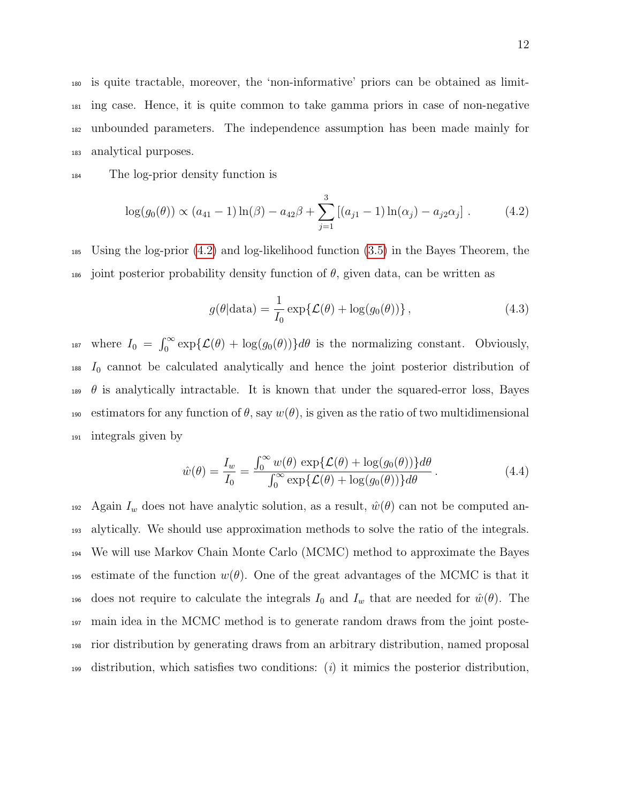is quite tractable, moreover, the 'non-informative' priors can be obtained as limit- ing case. Hence, it is quite common to take gamma priors in case of non-negative unbounded parameters. The independence assumption has been made mainly for analytical purposes.

<sup>184</sup> The log-prior density function is

$$
\log(g_0(\theta)) \propto (a_{41} - 1) \ln(\beta) - a_{42}\beta + \sum_{j=1}^3 [(a_{j1} - 1) \ln(\alpha_j) - a_{j2}\alpha_j]. \tag{4.2}
$$

<sup>185</sup> Using the log-prior [\(4.2\)](#page-11-0) and log-likelihood function [\(3.5\)](#page-7-0) in the Bayes Theorem, the 186 joint posterior probability density function of  $\theta$ , given data, can be written as

<span id="page-11-1"></span><span id="page-11-0"></span>
$$
g(\theta|\text{data}) = \frac{1}{I_0} \exp\{\mathcal{L}(\theta) + \log(g_0(\theta))\},\tag{4.3}
$$

<sup>187</sup> where  $I_0 = \int_0^\infty \exp{\{\mathcal{L}(\theta) + \log(g_0(\theta))\} d\theta}$  is the normalizing constant. Obviously,  $I<sub>188</sub>$  I<sub>0</sub> cannot be calculated analytically and hence the joint posterior distribution of 189  $\theta$  is analytically intractable. It is known that under the squared-error loss, Bayes 190 estimators for any function of  $\theta$ , say  $w(\theta)$ , is given as the ratio of two multidimensional <sup>191</sup> integrals given by

$$
\hat{w}(\theta) = \frac{I_w}{I_0} = \frac{\int_0^\infty w(\theta) \, \exp\{\mathcal{L}(\theta) + \log(g_0(\theta))\} d\theta}{\int_0^\infty \exp\{\mathcal{L}(\theta) + \log(g_0(\theta))\} d\theta} \,. \tag{4.4}
$$

192 Again  $I_w$  does not have analytic solution, as a result,  $\hat{w}(\theta)$  can not be computed an-<sup>193</sup> alytically. We should use approximation methods to solve the ratio of the integrals. <sup>194</sup> We will use Markov Chain Monte Carlo (MCMC) method to approximate the Bayes 195 estimate of the function  $w(\theta)$ . One of the great advantages of the MCMC is that it 196 does not require to calculate the integrals  $I_0$  and  $I_w$  that are needed for  $\hat{w}(\theta)$ . The <sup>197</sup> main idea in the MCMC method is to generate random draws from the joint poste-<sup>198</sup> rior distribution by generating draws from an arbitrary distribution, named proposal distribution, which satisfies two conditions: (i) it mimics the posterior distribution,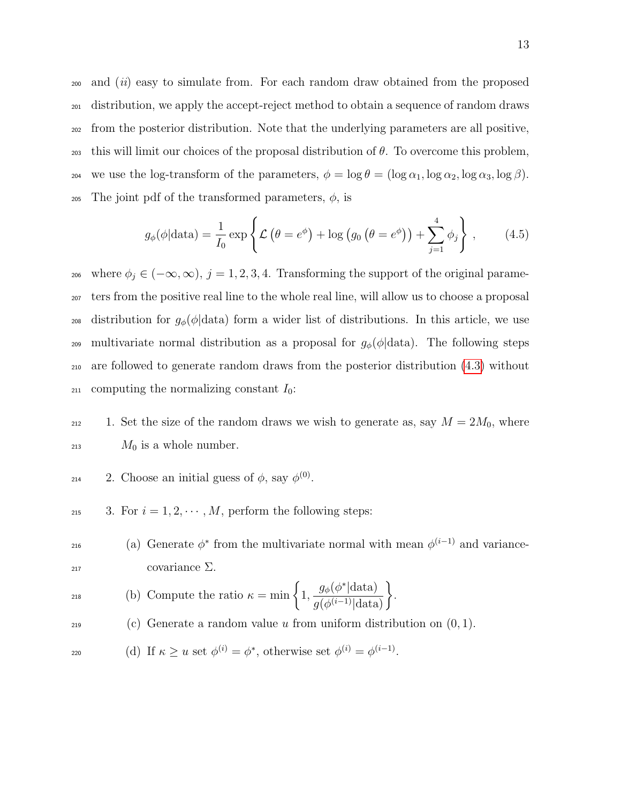<sup>200</sup> and (ii) easy to simulate from. For each random draw obtained from the proposed <sup>201</sup> distribution, we apply the accept-reject method to obtain a sequence of random draws <sup>202</sup> from the posterior distribution. Note that the underlying parameters are all positive, 203 this will limit our choices of the proposal distribution of  $\theta$ . To overcome this problem, 204 we use the log-transform of the parameters,  $\phi = \log \theta = (\log \alpha_1, \log \alpha_2, \log \alpha_3, \log \beta)$ . 205 The joint pdf of the transformed parameters,  $\phi$ , is

<span id="page-12-0"></span>
$$
g_{\phi}(\phi|\text{data}) = \frac{1}{I_0} \exp\left\{ \mathcal{L}\left(\theta = e^{\phi}\right) + \log\left(g_0\left(\theta = e^{\phi}\right)\right) + \sum_{j=1}^{4} \phi_j \right\},\qquad(4.5)
$$

<sup>206</sup> where  $\phi_j \in (-\infty, \infty)$ ,  $j = 1, 2, 3, 4$ . Transforming the support of the original parame-<sup>207</sup> ters from the positive real line to the whole real line, will allow us to choose a proposal 208 distribution for  $g_{\phi}(\phi|\text{data})$  form a wider list of distributions. In this article, we use 209 multivariate normal distribution as a proposal for  $g_{\phi}(\phi|\text{data})$ . The following steps <sup>210</sup> are followed to generate random draws from the posterior distribution [\(4.3\)](#page-11-1) without 211 computing the normalizing constant  $I_0$ :

212 1. Set the size of the random draws we wish to generate as, say  $M = 2M_0$ , where  $M_0$  is a whole number.

<sup>214</sup> 2. Choose an initial guess of 
$$
\phi
$$
, say  $\phi^{(0)}$ .

<sup>215</sup> 3. For  $i = 1, 2, \cdots, M$ , perform the following steps:

<sup>216</sup> (a) Generate  $\phi^*$  from the multivariate normal with mean  $\phi^{(i-1)}$  and variance- $217$  covariance  $\Sigma$ .

$$
218
$$
 (b) Compute the ratio  $\kappa = \min \left\{ 1, \frac{g_{\phi}(\phi^* | \text{data})}{g(\phi^{(i-1)} | \text{data})} \right\}.$ 

<sup>219</sup> (c) Generate a random value u from uniform distribution on  $(0, 1)$ .

$$
220 \t\t(d) If  $\kappa \ge u$  set  $\phi^{(i)} = \phi^*$ , otherwise set  $\phi^{(i)} = \phi^{(i-1)}$ .
$$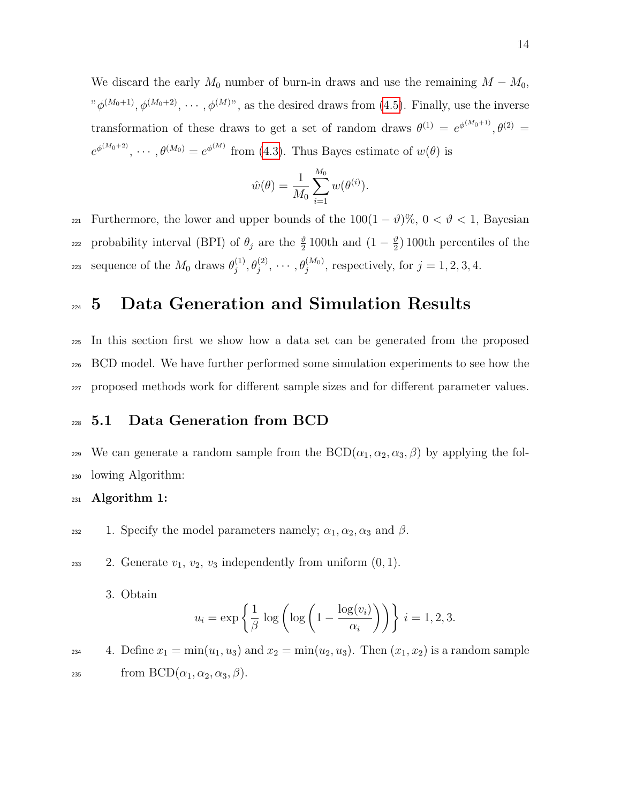We discard the early  $M_0$  number of burn-in draws and use the remaining  $M - M_0$ ,  $"\phi^{(M_0+1)}, \phi^{(M_0+2)}, \cdots, \phi^{(M)}$ , as the desired draws from [\(4.5\)](#page-12-0). Finally, use the inverse transformation of these draws to get a set of random draws  $\theta^{(1)} = e^{\phi^{(M_0+1)}}, \theta^{(2)} =$  $e^{\phi^{(M_0+2)}}, \cdots, \theta^{(M_0)} = e^{\phi^{(M)}}$  from [\(4.3\)](#page-11-1). Thus Bayes estimate of  $w(\theta)$  is

$$
\hat{w}(\theta) = \frac{1}{M_0} \sum_{i=1}^{M_0} w(\theta^{(i)}).
$$

221 Furthermore, the lower and upper bounds of the  $100(1 - \vartheta)\%$ ,  $0 < \vartheta < 1$ , Bayesian probability interval (BPI) of  $\theta_j$  are the  $\frac{\vartheta}{2}$  100th and  $(1-\frac{\vartheta}{2})$ 222 probability interval (BPI) of  $\theta_j$  are the  $\frac{\vartheta}{2}$  100th and  $(1-\frac{\vartheta}{2})$  100th percentiles of the sequence of the  $M_0$  draws  $\theta_i^{(1)}$ sequence of the  $M_0$  draws  $\theta_j^{(1)}, \theta_j^{(2)}, \cdots, \theta_j^{(M_0)}$ , respectively, for  $j = 1, 2, 3, 4$ .

### 224 5 Data Generation and Simulation Results

<sup>225</sup> In this section first we show how a data set can be generated from the proposed <sup>226</sup> BCD model. We have further performed some simulation experiments to see how the <sup>227</sup> proposed methods work for different sample sizes and for different parameter values.

#### <sup>228</sup> 5.1 Data Generation from BCD

229 We can generate a random sample from the  $BCD(\alpha_1, \alpha_2, \alpha_3, \beta)$  by applying the fol-<sup>230</sup> lowing Algorithm:

 $_{231}$  Algorithm 1:

232 1. Specify the model parameters namely;  $\alpha_1, \alpha_2, \alpha_3$  and  $\beta$ .

233 2. Generate  $v_1, v_2, v_3$  independently from uniform  $(0, 1)$ .

3. Obtain

$$
u_i = \exp\left\{\frac{1}{\beta} \log\left(\log\left(1 - \frac{\log(v_i)}{\alpha_i}\right)\right)\right\} \ i = 1, 2, 3.
$$

234 4. Define  $x_1 = \min(u_1, u_3)$  and  $x_2 = \min(u_2, u_3)$ . Then  $(x_1, x_2)$  is a random sample <sup>235</sup> from BCD $(\alpha_1, \alpha_2, \alpha_3, \beta)$ .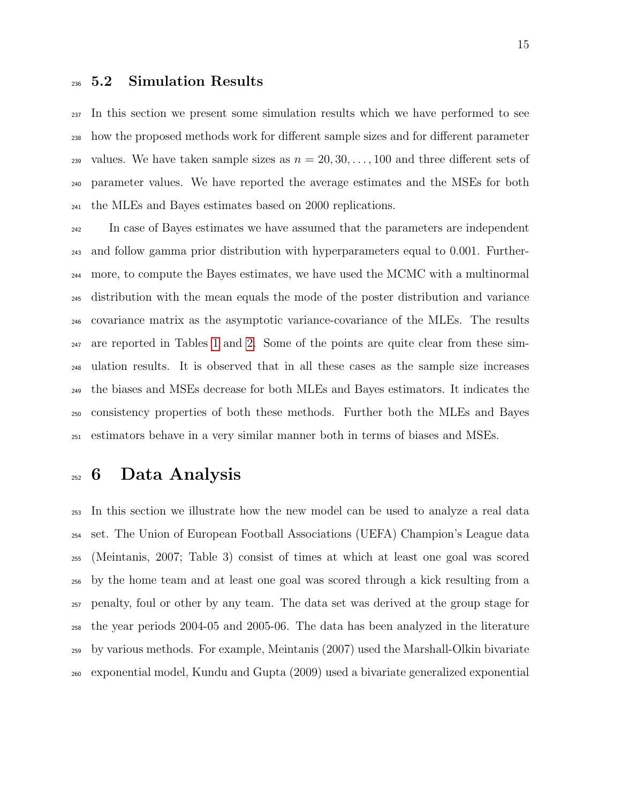#### 5.2 Simulation Results

 In this section we present some simulation results which we have performed to see how the proposed methods work for different sample sizes and for different parameter <sup>239</sup> values. We have taken sample sizes as  $n = 20, 30, \ldots, 100$  and three different sets of parameter values. We have reported the average estimates and the MSEs for both the MLEs and Bayes estimates based on 2000 replications.

 In case of Bayes estimates we have assumed that the parameters are independent and follow gamma prior distribution with hyperparameters equal to 0.001. Further- more, to compute the Bayes estimates, we have used the MCMC with a multinormal distribution with the mean equals the mode of the poster distribution and variance covariance matrix as the asymptotic variance-covariance of the MLEs. The results are reported in Tables [1](#page-29-0) and [2.](#page-30-0) Some of the points are quite clear from these sim- ulation results. It is observed that in all these cases as the sample size increases the biases and MSEs decrease for both MLEs and Bayes estimators. It indicates the consistency properties of both these methods. Further both the MLEs and Bayes estimators behave in a very similar manner both in terms of biases and MSEs.

### 6 Data Analysis

 In this section we illustrate how the new model can be used to analyze a real data set. The Union of European Football Associations (UEFA) Champion's League data (Meintanis, 2007; Table 3) consist of times at which at least one goal was scored by the home team and at least one goal was scored through a kick resulting from a penalty, foul or other by any team. The data set was derived at the group stage for the year periods 2004-05 and 2005-06. The data has been analyzed in the literature by various methods. For example, Meintanis (2007) used the Marshall-Olkin bivariate exponential model, Kundu and Gupta (2009) used a bivariate generalized exponential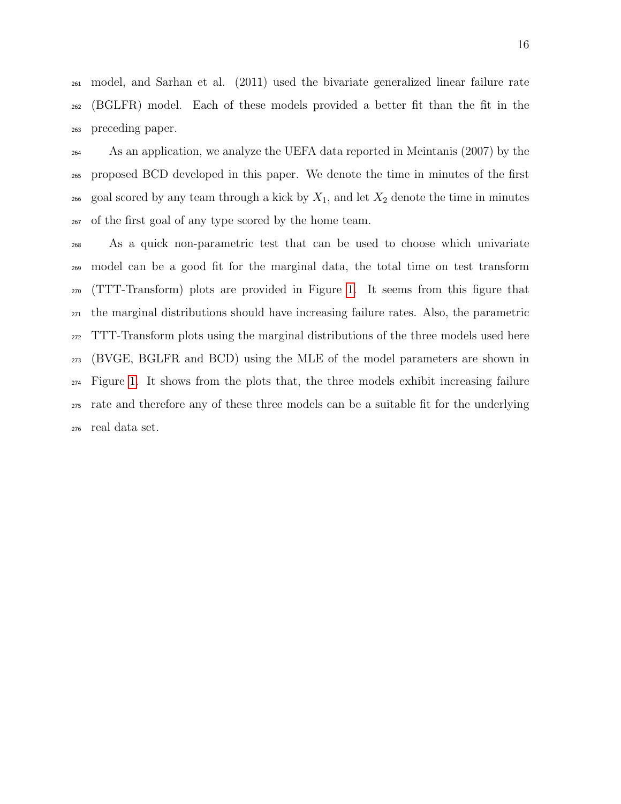model, and Sarhan et al. (2011) used the bivariate generalized linear failure rate (BGLFR) model. Each of these models provided a better fit than the fit in the preceding paper.

 As an application, we analyze the UEFA data reported in Meintanis (2007) by the proposed BCD developed in this paper. We denote the time in minutes of the first 266 goal scored by any team through a kick by  $X_1$ , and let  $X_2$  denote the time in minutes of the first goal of any type scored by the home team.

 As a quick non-parametric test that can be used to choose which univariate model can be a good fit for the marginal data, the total time on test transform (TTT-Transform) plots are provided in Figure [1.](#page-16-0) It seems from this figure that the marginal distributions should have increasing failure rates. Also, the parametric TTT-Transform plots using the marginal distributions of the three models used here (BVGE, BGLFR and BCD) using the MLE of the model parameters are shown in Figure [1.](#page-16-0) It shows from the plots that, the three models exhibit increasing failure rate and therefore any of these three models can be a suitable fit for the underlying real data set.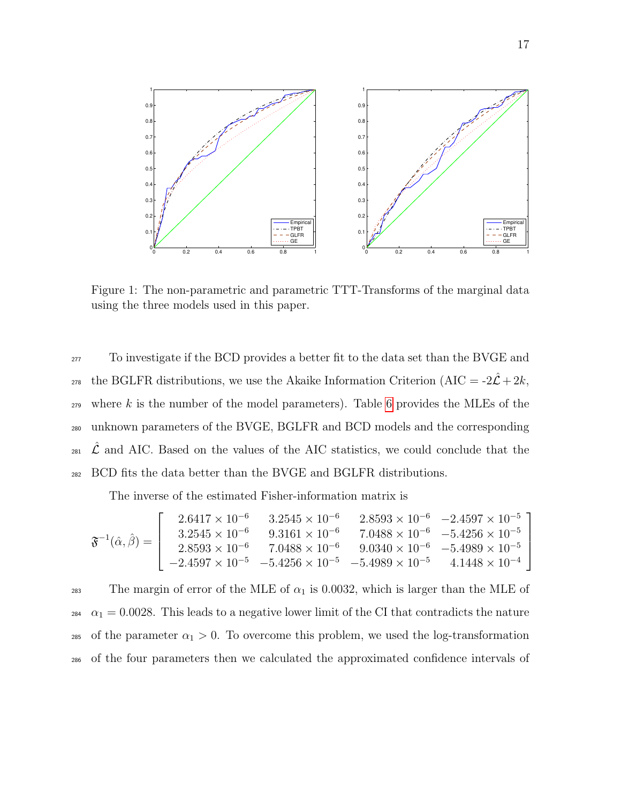

<span id="page-16-0"></span>Figure 1: The non-parametric and parametric TTT-Transforms of the marginal data using the three models used in this paper.

 To investigate if the BCD provides a better fit to the data set than the BVGE and <sup>278</sup> the BGLFR distributions, we use the Akaike Information Criterion (AIC =  $-2\hat{\mathcal{L}}+2k$ , where k is the number of the model parameters). Table [6](#page-16-0) provides the MLEs of the unknown parameters of the BVGE, BGLFR and BCD models and the corresponding  $\Omega_{281}$   $\mathcal{L}$  and AIC. Based on the values of the AIC statistics, we could conclude that the BCD fits the data better than the BVGE and BGLFR distributions.

The inverse of the estimated Fisher-information matrix is

$$
\mathfrak{F}^{-1}(\hat{\alpha},\hat{\beta}) = \left[\begin{array}{ccc} 2.6417\times 10^{-6} & 3.2545\times 10^{-6} & 2.8593\times 10^{-6} & -2.4597\times 10^{-5} \\ 3.2545\times 10^{-6} & 9.3161\times 10^{-6} & 7.0488\times 10^{-6} & -5.4256\times 10^{-5} \\ 2.8593\times 10^{-6} & 7.0488\times 10^{-6} & 9.0340\times 10^{-6} & -5.4989\times 10^{-5} \\ -2.4597\times 10^{-5} & -5.4256\times 10^{-5} & -5.4989\times 10^{-5} & 4.1448\times 10^{-4} \end{array}\right]
$$

283 The margin of error of the MLE of  $\alpha_1$  is 0.0032, which is larger than the MLE of 284  $\alpha_1 = 0.0028$ . This leads to a negative lower limit of the CI that contradicts the nature <sup>285</sup> of the parameter  $\alpha_1 > 0$ . To overcome this problem, we used the log-transformation <sup>286</sup> of the four parameters then we calculated the approximated confidence intervals of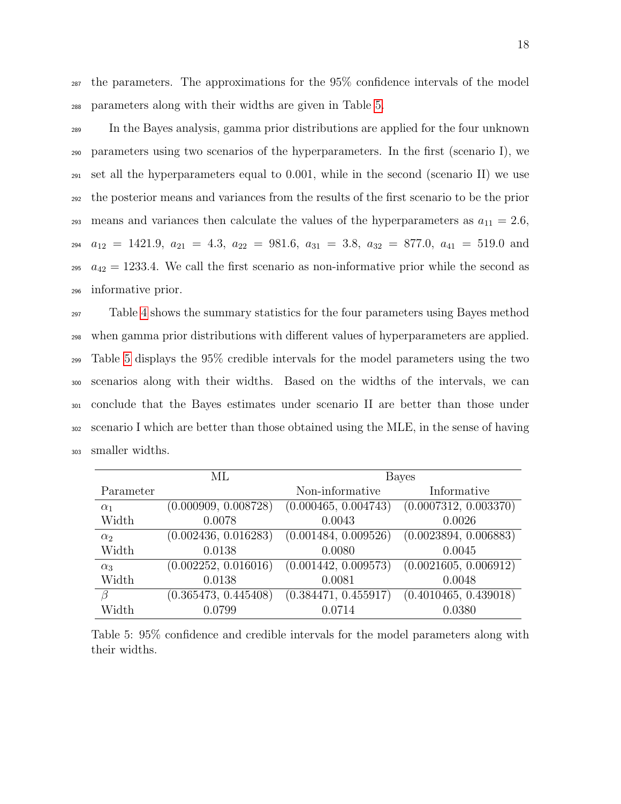<sup>287</sup> the parameters. The approximations for the 95% confidence intervals of the model <sup>288</sup> parameters along with their widths are given in Table [5.](#page-17-0)

 In the Bayes analysis, gamma prior distributions are applied for the four unknown parameters using two scenarios of the hyperparameters. In the first (scenario I), we set all the hyperparameters equal to 0.001, while in the second (scenario II) we use the posterior means and variances from the results of the first scenario to be the prior 293 means and variances then calculate the values of the hyperparameters as  $a_{11} = 2.6$ ,  $a_{12} = 1421.9, a_{21} = 4.3, a_{22} = 981.6, a_{31} = 3.8, a_{32} = 877.0, a_{41} = 519.0$  and  $a_{42} = 1233.4$ . We call the first scenario as non-informative prior while the second as informative prior.

 Table [4](#page-31-0) shows the summary statistics for the four parameters using Bayes method when gamma prior distributions with different values of hyperparameters are applied. Table [5](#page-17-0) displays the 95% credible intervals for the model parameters using the two scenarios along with their widths. Based on the widths of the intervals, we can conclude that the Bayes estimates under scenario II are better than those under scenario I which are better than those obtained using the MLE, in the sense of having smaller widths.

<span id="page-17-0"></span>

|            | ML                   |                      | <b>Bayes</b>          |
|------------|----------------------|----------------------|-----------------------|
| Parameter  |                      | Non-informative      | Informative           |
| $\alpha_1$ | (0.000909, 0.008728) | (0.000465, 0.004743) | (0.0007312, 0.003370) |
| Width      | 0.0078               | 0.0043               | 0.0026                |
| $\alpha_2$ | (0.002436, 0.016283) | (0.001484, 0.009526) | (0.0023894, 0.006883) |
| Width      | 0.0138               | 0.0080               | 0.0045                |
| $\alpha_3$ | (0.002252, 0.016016) | (0.001442, 0.009573) | (0.0021605, 0.006912) |
| Width      | 0.0138               | 0.0081               | 0.0048                |
| В          | (0.365473, 0.445408) | (0.384471, 0.455917) | (0.4010465, 0.439018) |
| Width      | 0.0799               | 0.0714               | 0.0380                |

Table 5: 95% confidence and credible intervals for the model parameters along with their widths.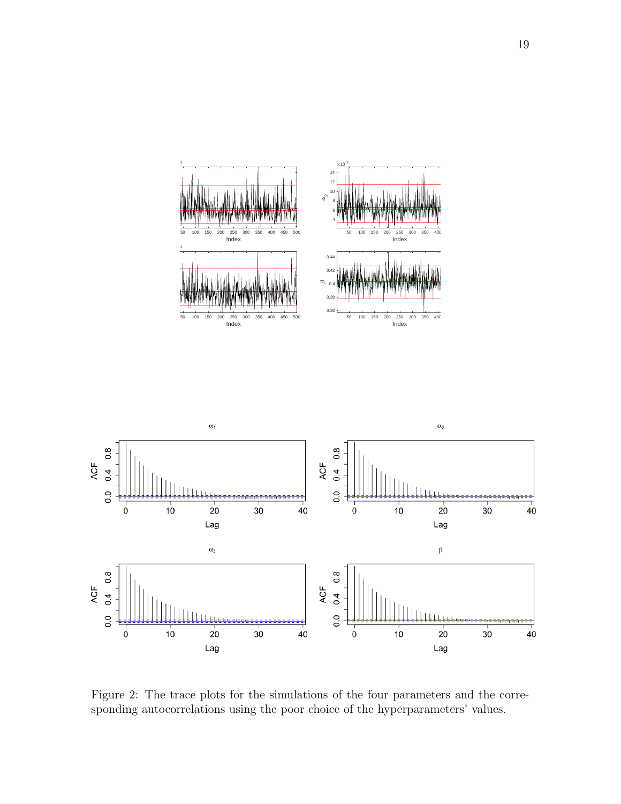



<span id="page-18-0"></span>Figure 2: The trace plots for the simulations of the four parameters and the corresponding autocorrelations using the poor choice of the hyperparameters' values.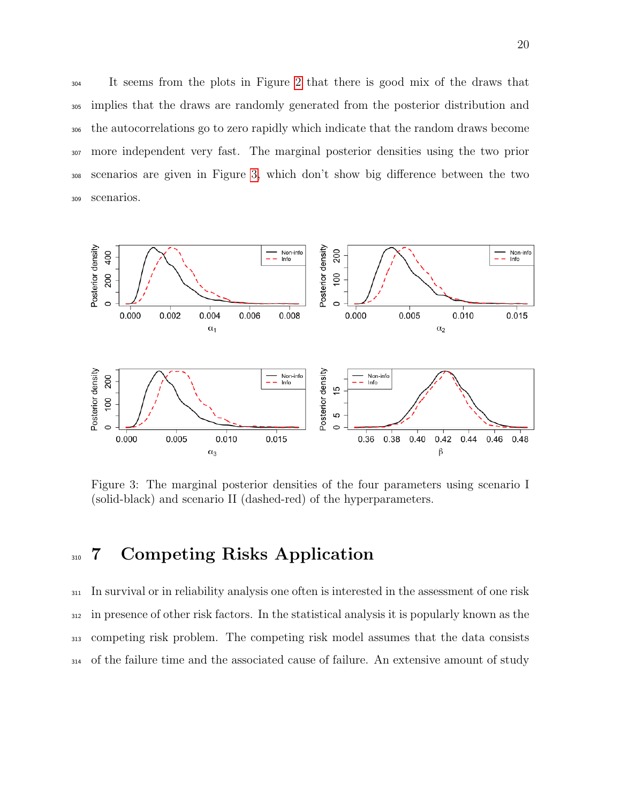It seems from the plots in Figure [2](#page-18-0) that there is good mix of the draws that implies that the draws are randomly generated from the posterior distribution and the autocorrelations go to zero rapidly which indicate that the random draws become more independent very fast. The marginal posterior densities using the two prior scenarios are given in Figure [3,](#page-19-0) which don't show big difference between the two scenarios.



<span id="page-19-0"></span>Figure 3: The marginal posterior densities of the four parameters using scenario I (solid-black) and scenario II (dashed-red) of the hyperparameters.

# 310 7 Competing Risks Application

 In survival or in reliability analysis one often is interested in the assessment of one risk in presence of other risk factors. In the statistical analysis it is popularly known as the competing risk problem. The competing risk model assumes that the data consists of the failure time and the associated cause of failure. An extensive amount of study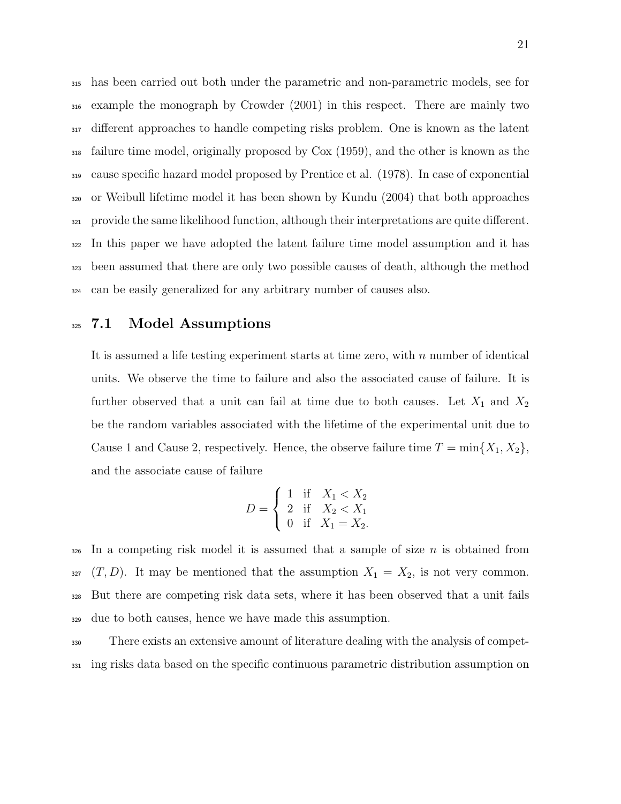has been carried out both under the parametric and non-parametric models, see for example the monograph by Crowder (2001) in this respect. There are mainly two different approaches to handle competing risks problem. One is known as the latent failure time model, originally proposed by Cox (1959), and the other is known as the cause specific hazard model proposed by Prentice et al. (1978). In case of exponential or Weibull lifetime model it has been shown by Kundu (2004) that both approaches provide the same likelihood function, although their interpretations are quite different. In this paper we have adopted the latent failure time model assumption and it has been assumed that there are only two possible causes of death, although the method can be easily generalized for any arbitrary number of causes also.

#### 325 7.1 Model Assumptions

It is assumed a life testing experiment starts at time zero, with n number of identical units. We observe the time to failure and also the associated cause of failure. It is further observed that a unit can fail at time due to both causes. Let  $X_1$  and  $X_2$ be the random variables associated with the lifetime of the experimental unit due to Cause 1 and Cause 2, respectively. Hence, the observe failure time  $T = \min\{X_1, X_2\}$ , and the associate cause of failure

$$
D = \begin{cases} 1 & \text{if } X_1 < X_2 \\ 2 & \text{if } X_2 < X_1 \\ 0 & \text{if } X_1 = X_2. \end{cases}
$$

 In a competing risk model it is assumed that a sample of size n is obtained from  $(T, D)$ . It may be mentioned that the assumption  $X_1 = X_2$ , is not very common. But there are competing risk data sets, where it has been observed that a unit fails due to both causes, hence we have made this assumption.

<sup>330</sup> There exists an extensive amount of literature dealing with the analysis of compet-<sup>331</sup> ing risks data based on the specific continuous parametric distribution assumption on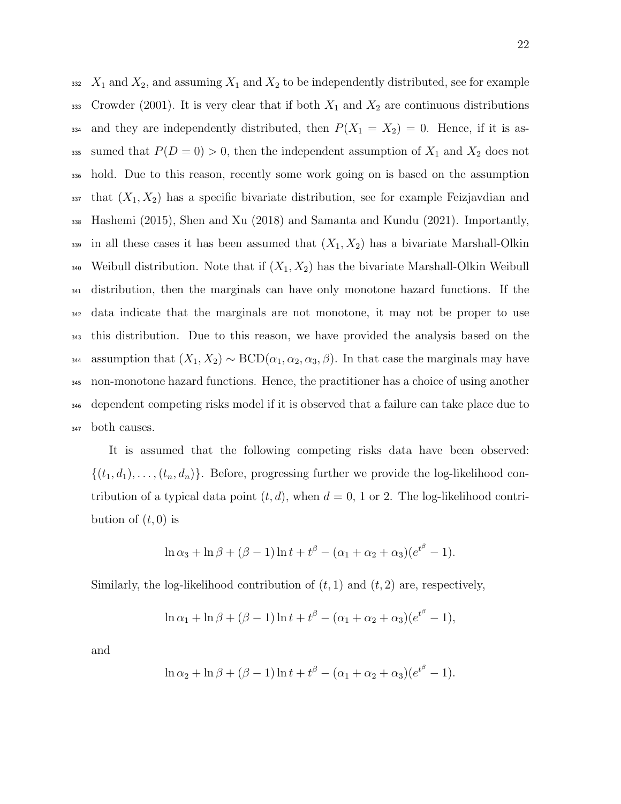$X_1$  and  $X_2$ , and assuming  $X_1$  and  $X_2$  to be independently distributed, see for example 333 Crowder (2001). It is very clear that if both  $X_1$  and  $X_2$  are continuous distributions 334 and they are independently distributed, then  $P(X_1 = X_2) = 0$ . Hence, if it is as-335 sumed that  $P(D = 0) > 0$ , then the independent assumption of  $X_1$  and  $X_2$  does not hold. Due to this reason, recently some work going on is based on the assumption that  $(X_1, X_2)$  has a specific bivariate distribution, see for example Feizjavdian and Hashemi (2015), Shen and Xu (2018) and Samanta and Kundu (2021). Importantly,  $\frac{339}{10}$  in all these cases it has been assumed that  $(X_1, X_2)$  has a bivariate Marshall-Olkin 340 Weibull distribution. Note that if  $(X_1, X_2)$  has the bivariate Marshall-Olkin Weibull distribution, then the marginals can have only monotone hazard functions. If the data indicate that the marginals are not monotone, it may not be proper to use this distribution. Due to this reason, we have provided the analysis based on the 344 assumption that  $(X_1, X_2) \sim \text{BCD}(\alpha_1, \alpha_2, \alpha_3, \beta)$ . In that case the marginals may have non-monotone hazard functions. Hence, the practitioner has a choice of using another dependent competing risks model if it is observed that a failure can take place due to both causes.

It is assumed that the following competing risks data have been observed:  $\{(t_1, d_1), \ldots, (t_n, d_n)\}\.$  Before, progressing further we provide the log-likelihood contribution of a typical data point  $(t, d)$ , when  $d = 0$ , 1 or 2. The log-likelihood contribution of  $(t, 0)$  is

$$
\ln \alpha_3 + \ln \beta + (\beta - 1) \ln t + t^{\beta} - (\alpha_1 + \alpha_2 + \alpha_3)(e^{t^{\beta}} - 1).
$$

Similarly, the log-likelihood contribution of  $(t, 1)$  and  $(t, 2)$  are, respectively,

$$
\ln \alpha_1 + \ln \beta + (\beta - 1) \ln t + t^{\beta} - (\alpha_1 + \alpha_2 + \alpha_3)(e^{t^{\beta}} - 1),
$$

and

$$
\ln \alpha_2 + \ln \beta + (\beta - 1) \ln t + t^{\beta} - (\alpha_1 + \alpha_2 + \alpha_3)(e^{t^{\beta}} - 1).
$$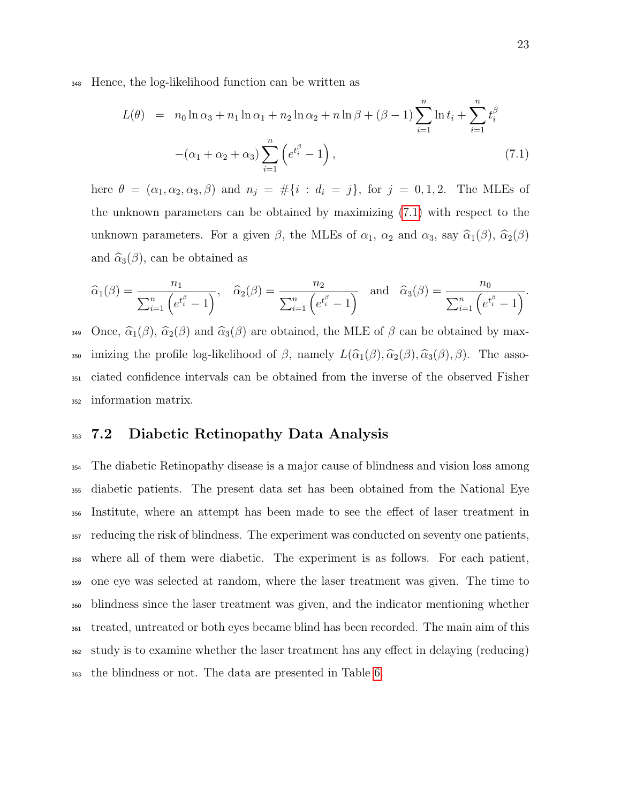<sup>348</sup> Hence, the log-likelihood function can be written as

<span id="page-22-0"></span>
$$
L(\theta) = n_0 \ln \alpha_3 + n_1 \ln \alpha_1 + n_2 \ln \alpha_2 + n \ln \beta + (\beta - 1) \sum_{i=1}^n \ln t_i + \sum_{i=1}^n t_i^{\beta}
$$

$$
-(\alpha_1 + \alpha_2 + \alpha_3) \sum_{i=1}^n (e^{t_i^{\beta}} - 1), \qquad (7.1)
$$

here  $\theta = (\alpha_1, \alpha_2, \alpha_3, \beta)$  and  $n_j = #\{i : d_i = j\}$ , for  $j = 0, 1, 2$ . The MLEs of the unknown parameters can be obtained by maximizing [\(7.1\)](#page-22-0) with respect to the unknown parameters. For a given  $\beta$ , the MLEs of  $\alpha_1$ ,  $\alpha_2$  and  $\alpha_3$ , say  $\widehat{\alpha}_1(\beta)$ ,  $\widehat{\alpha}_2(\beta)$ and  $\hat{\alpha}_3(\beta)$ , can be obtained as

$$
\widehat{\alpha}_1(\beta) = \frac{n_1}{\sum_{i=1}^n \left(e^{t_i^{\beta}} - 1\right)}, \quad \widehat{\alpha}_2(\beta) = \frac{n_2}{\sum_{i=1}^n \left(e^{t_i^{\beta}} - 1\right)} \quad \text{and} \quad \widehat{\alpha}_3(\beta) = \frac{n_0}{\sum_{i=1}^n \left(e^{t_i^{\beta}} - 1\right)}.
$$

349 Once,  $\hat{\alpha}_1(\beta)$ ,  $\hat{\alpha}_2(\beta)$  and  $\hat{\alpha}_3(\beta)$  are obtained, the MLE of  $\beta$  can be obtained by max-350 imizing the profile log-likelihood of  $\beta$ , namely  $L(\widehat{\alpha}_1(\beta), \widehat{\alpha}_2(\beta), \widehat{\alpha}_3(\beta), \beta)$ . The asso-<sup>351</sup> ciated confidence intervals can be obtained from the inverse of the observed Fisher <sup>352</sup> information matrix.

#### <sup>353</sup> 7.2 Diabetic Retinopathy Data Analysis

 The diabetic Retinopathy disease is a major cause of blindness and vision loss among diabetic patients. The present data set has been obtained from the National Eye Institute, where an attempt has been made to see the effect of laser treatment in reducing the risk of blindness. The experiment was conducted on seventy one patients, where all of them were diabetic. The experiment is as follows. For each patient, one eye was selected at random, where the laser treatment was given. The time to blindness since the laser treatment was given, and the indicator mentioning whether treated, untreated or both eyes became blind has been recorded. The main aim of this study is to examine whether the laser treatment has any effect in delaying (reducing) the blindness or not. The data are presented in Table [6.](#page-32-0)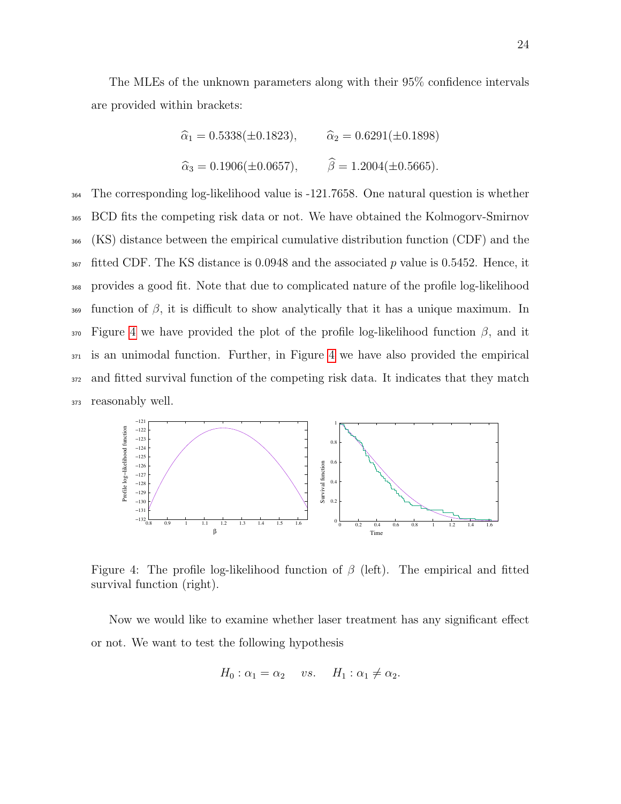The MLEs of the unknown parameters along with their 95% confidence intervals are provided within brackets:

$$
\hat{\alpha}_1 = 0.5338(\pm 0.1823),
$$
  $\hat{\alpha}_2 = 0.6291(\pm 0.1898)$   
\n $\hat{\alpha}_3 = 0.1906(\pm 0.0657),$   $\hat{\beta} = 1.2004(\pm 0.5665).$ 

 The corresponding log-likelihood value is -121.7658. One natural question is whether BCD fits the competing risk data or not. We have obtained the Kolmogorv-Smirnov (KS) distance between the empirical cumulative distribution function (CDF) and the fitted CDF. The KS distance is 0.0948 and the associated p value is 0.5452. Hence, it provides a good fit. Note that due to complicated nature of the profile log-likelihood  $\frac{369}{100}$  function of  $\beta$ , it is difficult to show analytically that it has a unique maximum. In Figure [4](#page-23-0) we have provided the plot of the profile log-likelihood function  $\beta$ , and it is an unimodal function. Further, in Figure [4](#page-23-0) we have also provided the empirical and fitted survival function of the competing risk data. It indicates that they match reasonably well.



<span id="page-23-0"></span>Figure 4: The profile log-likelihood function of  $\beta$  (left). The empirical and fitted survival function (right).

Now we would like to examine whether laser treatment has any significant effect or not. We want to test the following hypothesis

$$
H_0: \alpha_1 = \alpha_2 \quad vs. \quad H_1: \alpha_1 \neq \alpha_2.
$$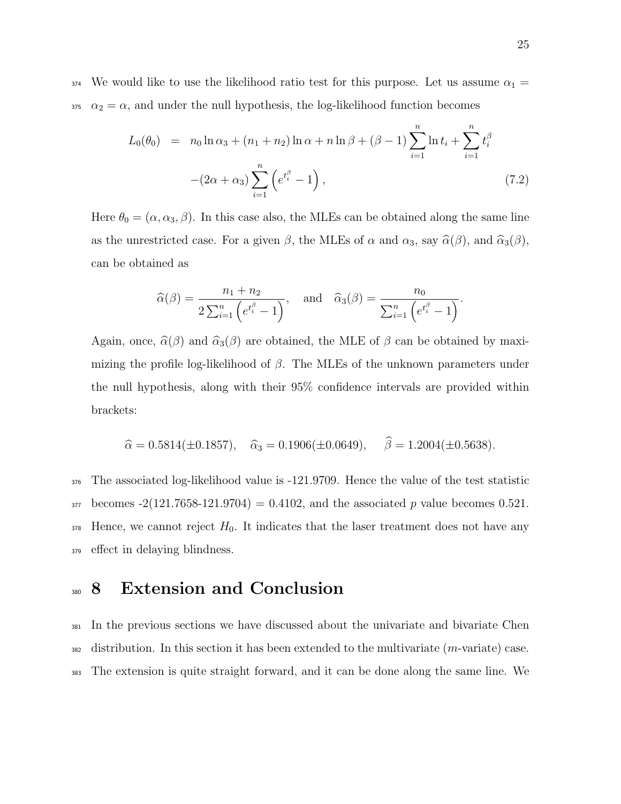$_{374}$  We would like to use the likelihood ratio test for this purpose. Let us assume  $\alpha_1 =$ 375  $\alpha_2 = \alpha$ , and under the null hypothesis, the log-likelihood function becomes

$$
L_0(\theta_0) = n_0 \ln \alpha_3 + (n_1 + n_2) \ln \alpha + n \ln \beta + (\beta - 1) \sum_{i=1}^n \ln t_i + \sum_{i=1}^n t_i^{\beta}
$$

$$
-(2\alpha + \alpha_3) \sum_{i=1}^n (e^{t_i^{\beta}} - 1), \qquad (7.2)
$$

Here  $\theta_0 = (\alpha, \alpha_3, \beta)$ . In this case also, the MLEs can be obtained along the same line as the unrestricted case. For a given  $\beta$ , the MLEs of  $\alpha$  and  $\alpha_3$ , say  $\hat{\alpha}(\beta)$ , and  $\hat{\alpha}_3(\beta)$ , can be obtained as

$$
\widehat{\alpha}(\beta) = \frac{n_1 + n_2}{2\sum_{i=1}^n \left(e^{t_i^{\beta}} - 1\right)}, \quad \text{and} \quad \widehat{\alpha}_3(\beta) = \frac{n_0}{\sum_{i=1}^n \left(e^{t_i^{\beta}} - 1\right)}.
$$

Again, once,  $\hat{\alpha}(\beta)$  and  $\hat{\alpha}_3(\beta)$  are obtained, the MLE of  $\beta$  can be obtained by maximizing the profile log-likelihood of  $\beta$ . The MLEs of the unknown parameters under the null hypothesis, along with their 95% confidence intervals are provided within brackets:

$$
\hat{\alpha} = 0.5814(\pm 0.1857), \quad \hat{\alpha}_3 = 0.1906(\pm 0.0649), \quad \hat{\beta} = 1.2004(\pm 0.5638).
$$

 The associated log-likelihood value is -121.9709. Hence the value of the test statistic becomes  $-2(121.7658-121.9704) = 0.4102$ , and the associated p value becomes 0.521. Hence, we cannot reject  $H_0$ . It indicates that the laser treatment does not have any effect in delaying blindness.

### <sup>380</sup> 8 Extension and Conclusion

<sup>381</sup> In the previous sections we have discussed about the univariate and bivariate Chen  $382$  distribution. In this section it has been extended to the multivariate  $(m$ -variate) case. <sup>383</sup> The extension is quite straight forward, and it can be done along the same line. We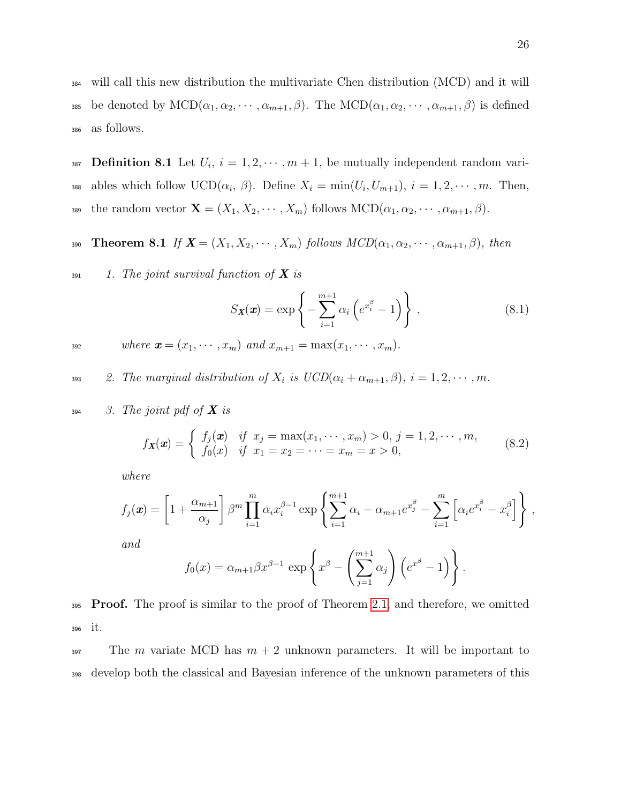<sup>384</sup> will call this new distribution the multivariate Chen distribution (MCD) and it will 385 be denoted by  $\text{MCD}(\alpha_1, \alpha_2, \cdots, \alpha_{m+1}, \beta)$ . The  $\text{MCD}(\alpha_1, \alpha_2, \cdots, \alpha_{m+1}, \beta)$  is defined <sup>386</sup> as follows.

387 **Definition 8.1** Let  $U_i$ ,  $i = 1, 2, \dots, m + 1$ , be mutually independent random variass ables which follow  $UCD(\alpha_i, \beta)$ . Define  $X_i = \min(U_i, U_{m+1}), i = 1, 2, \cdots, m$ . Then, 389 the random vector  $\mathbf{X} = (X_1, X_2, \cdots, X_m)$  follows  $\text{MCD}(\alpha_1, \alpha_2, \cdots, \alpha_{m+1}, \beta)$ .

390 **Theorem 8.1** If  $\mathbf{X} = (X_1, X_2, \cdots, X_m)$  follows  $MCD(\alpha_1, \alpha_2, \cdots, \alpha_{m+1}, \beta)$ , then

 $1.$  The joint survival function of **X** is

$$
S_{\mathbf{X}}(\mathbf{x}) = \exp\left\{-\sum_{i=1}^{m+1} \alpha_i \left(e^{x_i^{\beta}} - 1\right)\right\},\tag{8.1}
$$

$$
where x = (x1,..., xm) and xm+1 = max(x1,..., xm).
$$

393 2. The marginal distribution of  $X_i$  is  $UCD(\alpha_i + \alpha_{m+1}, \beta), i = 1, 2, \cdots, m$ .

$$
394 \qquad 3. The joint pdf of X is
$$

$$
f_{\mathbf{X}}(\mathbf{x}) = \begin{cases} f_j(\mathbf{x}) & \text{if } x_j = \max(x_1, \dots, x_m) > 0, \ j = 1, 2, \dots, m, \\ f_0(x) & \text{if } x_1 = x_2 = \dots = x_m = x > 0, \end{cases}
$$
(8.2)

where

$$
f_j(\boldsymbol{x}) = \left[1 + \frac{\alpha_{m+1}}{\alpha_j}\right] \beta^m \prod_{i=1}^m \alpha_i x_i^{\beta - 1} \exp\left\{\sum_{i=1}^{m+1} \alpha_i - \alpha_{m+1} e^{x_j^{\beta}} - \sum_{i=1}^m \left[\alpha_i e^{x_i^{\beta}} - x_i^{\beta}\right]\right\},
$$
  
and

and

$$
f_0(x) = \alpha_{m+1} \beta x^{\beta-1} \exp\left\{ x^{\beta} - \left( \sum_{j=1}^{m+1} \alpha_j \right) \left( e^{x^{\beta}} - 1 \right) \right\}.
$$

395 **Proof.** The proof is similar to the proof of Theorem [2.1,](#page-3-0) and therefore, we omitted <sup>396</sup> it.

<sup>397</sup> The *m* variate MCD has  $m + 2$  unknown parameters. It will be important to <sup>398</sup> develop both the classical and Bayesian inference of the unknown parameters of this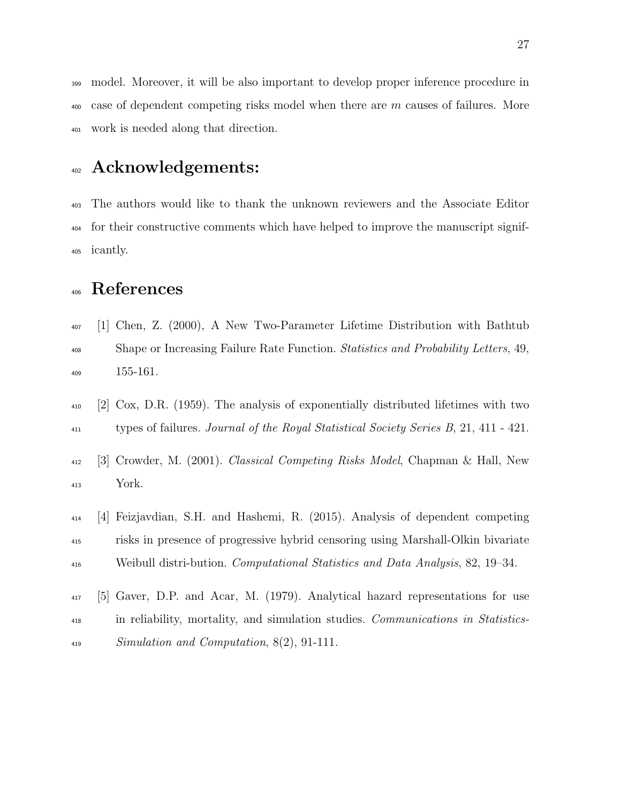model. Moreover, it will be also important to develop proper inference procedure in  $400\degree$  case of dependent competing risks model when there are m causes of failures. More work is needed along that direction.

### Acknowledgements:

 The authors would like to thank the unknown reviewers and the Associate Editor for their constructive comments which have helped to improve the manuscript signif-icantly.

# References

- [1] Chen, Z. (2000), A New Two-Parameter Lifetime Distribution with Bathtub <sup>408</sup> Shape or Increasing Failure Rate Function. Statistics and Probability Letters, 49, 155-161.
- [2] Cox, D.R. (1959). The analysis of exponentially distributed lifetimes with two <sup>411</sup> types of failures. Journal of the Royal Statistical Society Series B, 21, 411 - 421.
- [3] Crowder, M. (2001). Classical Competing Risks Model, Chapman & Hall, New York.
- [4] Feizjavdian, S.H. and Hashemi, R. (2015). Analysis of dependent competing risks in presence of progressive hybrid censoring using Marshall-Olkin bivariate Weibull distri-bution. Computational Statistics and Data Analysis, 82, 19–34.
- [5] Gaver, D.P. and Acar, M. (1979). Analytical hazard representations for use in reliability, mortality, and simulation studies. Communications in Statistics-Simulation and Computation, 8(2), 91-111.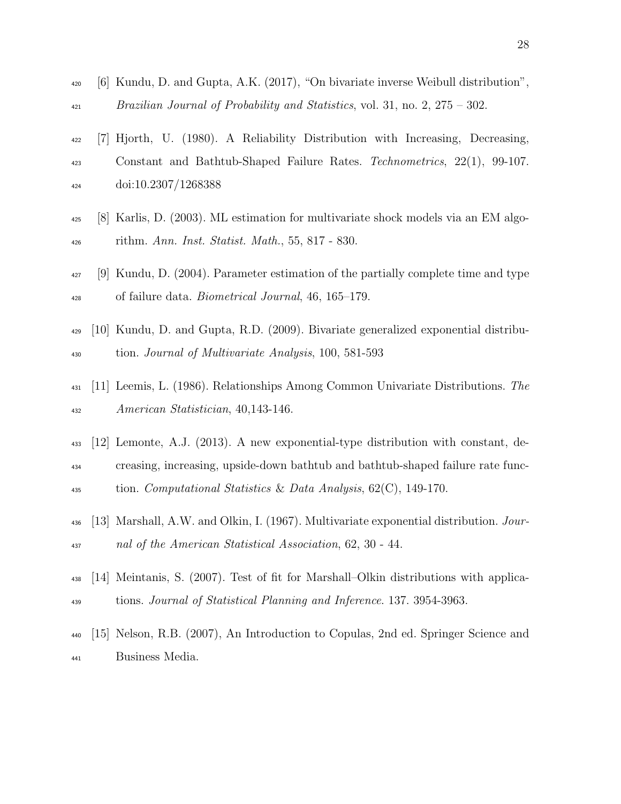- [6] Kundu, D. and Gupta, A.K. (2017), "On bivariate inverse Weibull distribution", Brazilian Journal of Probability and Statistics, vol. 31, no. 2, 275 – 302.
- [7] Hjorth, U. (1980). A Reliability Distribution with Increasing, Decreasing, <sup>423</sup> Constant and Bathtub-Shaped Failure Rates. Technometrics, 22(1), 99-107. doi:10.2307/1268388
- [8] Karlis, D. (2003). ML estimation for multivariate shock models via an EM algo-rithm. Ann. Inst. Statist. Math., 55, 817 - 830.
- [9] Kundu, D. (2004). Parameter estimation of the partially complete time and type of failure data. Biometrical Journal, 46, 165–179.
- [10] Kundu, D. and Gupta, R.D. (2009). Bivariate generalized exponential distribu-tion. Journal of Multivariate Analysis, 100, 581-593
- [11] Leemis, L. (1986). Relationships Among Common Univariate Distributions. The American Statistician, 40,143-146.
- [12] Lemonte, A.J. (2013). A new exponential-type distribution with constant, de- creasing, increasing, upside-down bathtub and bathtub-shaped failure rate func-<sup>435</sup> tion. Computational Statistics & Data Analysis,  $62(C)$ , 149-170.
- [13] Marshall, A.W. and Olkin, I. (1967). Multivariate exponential distribution. Jour-nal of the American Statistical Association, 62, 30 - 44.
- [14] Meintanis, S. (2007). Test of fit for Marshall–Olkin distributions with applica-tions. Journal of Statistical Planning and Inference. 137. 3954-3963.
- <span id="page-27-0"></span> [15] Nelson, R.B. (2007), An Introduction to Copulas, 2nd ed. Springer Science and Business Media.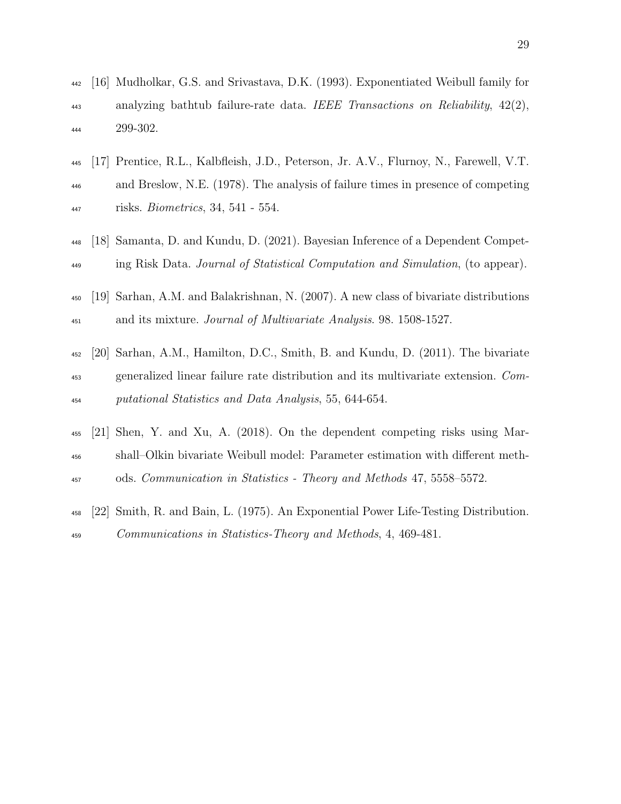- [16] Mudholkar, G.S. and Srivastava, D.K. (1993). Exponentiated Weibull family for analyzing bathtub failure-rate data. IEEE Transactions on Reliability, 42(2), 299-302.
- [17] Prentice, R.L., Kalbfleish, J.D., Peterson, Jr. A.V., Flurnoy, N., Farewell, V.T. and Breslow, N.E. (1978). The analysis of failure times in presence of competing risks. Biometrics, 34, 541 - 554.
- [18] Samanta, D. and Kundu, D. (2021). Bayesian Inference of a Dependent Compet-ing Risk Data. Journal of Statistical Computation and Simulation, (to appear).
- [19] Sarhan, A.M. and Balakrishnan, N. (2007). A new class of bivariate distributions <sup>451</sup> and its mixture. *Journal of Multivariate Analysis*. 98. 1508-1527.
- [20] Sarhan, A.M., Hamilton, D.C., Smith, B. and Kundu, D. (2011). The bivariate generalized linear failure rate distribution and its multivariate extension. Com-putational Statistics and Data Analysis, 55, 644-654.
- [21] Shen, Y. and Xu, A. (2018). On the dependent competing risks using Mar- shall–Olkin bivariate Weibull model: Parameter estimation with different meth-ods. Communication in Statistics - Theory and Methods 47, 5558–5572.
- [22] Smith, R. and Bain, L. (1975). An Exponential Power Life-Testing Distribution. Communications in Statistics-Theory and Methods, 4, 469-481.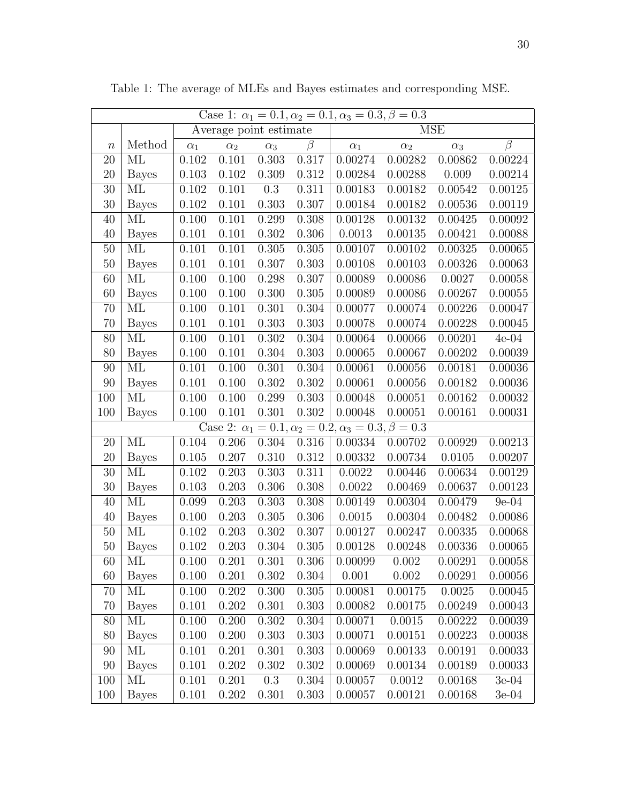| Case 1: $\alpha_1 = 0.1, \alpha_2 = 0.1, \alpha_3 = 0.3, \beta = 0.3$ |                          |            |            |            |         |                                                                       |            |            |         |  |
|-----------------------------------------------------------------------|--------------------------|------------|------------|------------|---------|-----------------------------------------------------------------------|------------|------------|---------|--|
|                                                                       | Average point estimate   |            |            |            |         | <b>MSE</b>                                                            |            |            |         |  |
| $\, n$                                                                | Method                   | $\alpha_1$ | $\alpha_2$ | $\alpha_3$ | $\beta$ | $\alpha_1$                                                            | $\alpha_2$ | $\alpha_3$ | $\beta$ |  |
| 20                                                                    | ML                       | 0.102      | 0.101      | 0.303      | 0.317   | 0.00274                                                               | 0.00282    | 0.00862    | 0.00224 |  |
| 20                                                                    | <b>Bayes</b>             | 0.103      | 0.102      | 0.309      | 0.312   | 0.00284                                                               | 0.00288    | 0.009      | 0.00214 |  |
| $30\,$                                                                | ML                       | $0.102\,$  | 0.101      | 0.3        | 0.311   | 0.00183                                                               | 0.00182    | 0.00542    | 0.00125 |  |
| $30\,$                                                                | <b>Bayes</b>             | 0.102      | 0.101      | 0.303      | 0.307   | 0.00184                                                               | 0.00182    | 0.00536    | 0.00119 |  |
| 40                                                                    | ML                       | 0.100      | 0.101      | 0.299      | 0.308   | 0.00128                                                               | 0.00132    | 0.00425    | 0.00092 |  |
| 40                                                                    | <b>Bayes</b>             | 0.101      | 0.101      | 0.302      | 0.306   | 0.0013                                                                | 0.00135    | 0.00421    | 0.00088 |  |
| $50\,$                                                                | ML                       | 0.101      | 0.101      | 0.305      | 0.305   | 0.00107                                                               | 0.00102    | 0.00325    | 0.00065 |  |
| $50\,$                                                                | <b>Bayes</b>             | 0.101      | 0.101      | 0.307      | 0.303   | 0.00108                                                               | 0.00103    | 0.00326    | 0.00063 |  |
| 60                                                                    | ML                       | 0.100      | 0.100      | 0.298      | 0.307   | 0.00089                                                               | 0.00086    | 0.0027     | 0.00058 |  |
| 60                                                                    | <b>Bayes</b>             | 0.100      | 0.100      | 0.300      | 0.305   | 0.00089                                                               | 0.00086    | 0.00267    | 0.00055 |  |
| 70                                                                    | ML                       | 0.100      | 0.101      | 0.301      | 0.304   | 0.00077                                                               | 0.00074    | 0.00226    | 0.00047 |  |
| 70                                                                    | <b>Bayes</b>             | 0.101      | 0.101      | 0.303      | 0.303   | 0.00078                                                               | 0.00074    | 0.00228    | 0.00045 |  |
| 80                                                                    | $\overline{\mathrm{ML}}$ | 0.100      | 0.101      | 0.302      | 0.304   | 0.00064                                                               | 0.00066    | 0.00201    | $4e-04$ |  |
| 80                                                                    | <b>Bayes</b>             | 0.100      | 0.101      | 0.304      | 0.303   | 0.00065                                                               | 0.00067    | 0.00202    | 0.00039 |  |
| 90                                                                    | ML                       | 0.101      | 0.100      | 0.301      | 0.304   | 0.00061                                                               | 0.00056    | 0.00181    | 0.00036 |  |
| $90\,$                                                                | <b>Bayes</b>             | 0.101      | 0.100      | 0.302      | 0.302   | 0.00061                                                               | 0.00056    | 0.00182    | 0.00036 |  |
| 100                                                                   | ML                       | 0.100      | $0.100\,$  | 0.299      | 0.303   | 0.00048                                                               | 0.00051    | 0.00162    | 0.00032 |  |
| 100                                                                   | <b>Bayes</b>             | 0.100      | 0.101      | 0.301      | 0.302   | 0.00048                                                               | 0.00051    | 0.00161    | 0.00031 |  |
|                                                                       |                          |            |            |            |         | Case 2: $\alpha_1 = 0.1, \alpha_2 = 0.2, \alpha_3 = 0.3, \beta = 0.3$ |            |            |         |  |
| 20                                                                    | ML                       | 0.104      | 0.206      | 0.304      | 0.316   | 0.00334                                                               | 0.00702    | 0.00929    | 0.00213 |  |
| $20\,$                                                                | <b>Bayes</b>             | 0.105      | 0.207      | 0.310      | 0.312   | 0.00332                                                               | 0.00734    | 0.0105     | 0.00207 |  |
| $30\,$                                                                | ML                       | 0.102      | 0.203      | 0.303      | 0.311   | 0.0022                                                                | 0.00446    | 0.00634    | 0.00129 |  |
| $30\,$                                                                | <b>Bayes</b>             | 0.103      | 0.203      | 0.306      | 0.308   | 0.0022                                                                | 0.00469    | 0.00637    | 0.00123 |  |
| 40                                                                    | ML                       | 0.099      | 0.203      | 0.303      | 0.308   | 0.00149                                                               | 0.00304    | 0.00479    | $9e-04$ |  |
| 40                                                                    | <b>Bayes</b>             | 0.100      | 0.203      | 0.305      | 0.306   | 0.0015                                                                | 0.00304    | 0.00482    | 0.00086 |  |
| $50\,$                                                                | ML                       | 0.102      | 0.203      | 0.302      | 0.307   | 0.00127                                                               | 0.00247    | 0.00335    | 0.00068 |  |
| 50                                                                    | <b>Bayes</b>             | 0.102      | 0.203      | 0.304      | 0.305   | 0.00128                                                               | 0.00248    | 0.00336    | 0.00065 |  |
| 60                                                                    | ML                       | 0.100      | 0.201      | 0.301      | 0.306   | 0.00099                                                               | 0.002      | 0.00291    | 0.00058 |  |
| 60                                                                    | <b>Bayes</b>             | 0.100      | 0.201      | 0.302      | 0.304   | 0.001                                                                 | 0.002      | 0.00291    | 0.00056 |  |
| 70                                                                    | ML                       | 0.100      | 0.202      | 0.300      | 0.305   | 0.00081                                                               | 0.00175    | 0.0025     | 0.00045 |  |
| 70                                                                    | <b>Bayes</b>             | 0.101      | 0.202      | 0.301      | 0.303   | 0.00082                                                               | 0.00175    | 0.00249    | 0.00043 |  |
| 80                                                                    | МL                       | 0.100      | 0.200      | 0.302      | 0.304   | 0.00071                                                               | 0.0015     | 0.00222    | 0.00039 |  |
| $80\,$                                                                | <b>Bayes</b>             | 0.100      | 0.200      | 0.303      | 0.303   | 0.00071                                                               | 0.00151    | 0.00223    | 0.00038 |  |
| 90                                                                    | ML                       | 0.101      | 0.201      | 0.301      | 0.303   | 0.00069                                                               | 0.00133    | 0.00191    | 0.00033 |  |
| 90                                                                    | <b>Bayes</b>             | 0.101      | $0.202\,$  | 0.302      | 0.302   | 0.00069                                                               | 0.00134    | 0.00189    | 0.00033 |  |
| 100                                                                   | ML                       | 0.101      | 0.201      | 0.3        | 0.304   | 0.00057                                                               | 0.0012     | 0.00168    | $3e-04$ |  |
| 100                                                                   | <b>Bayes</b>             | 0.101      | 0.202      | 0.301      | 0.303   | 0.00057                                                               | 0.00121    | 0.00168    | $3e-04$ |  |

<span id="page-29-0"></span>Table 1: The average of MLEs and Bayes estimates and corresponding MSE.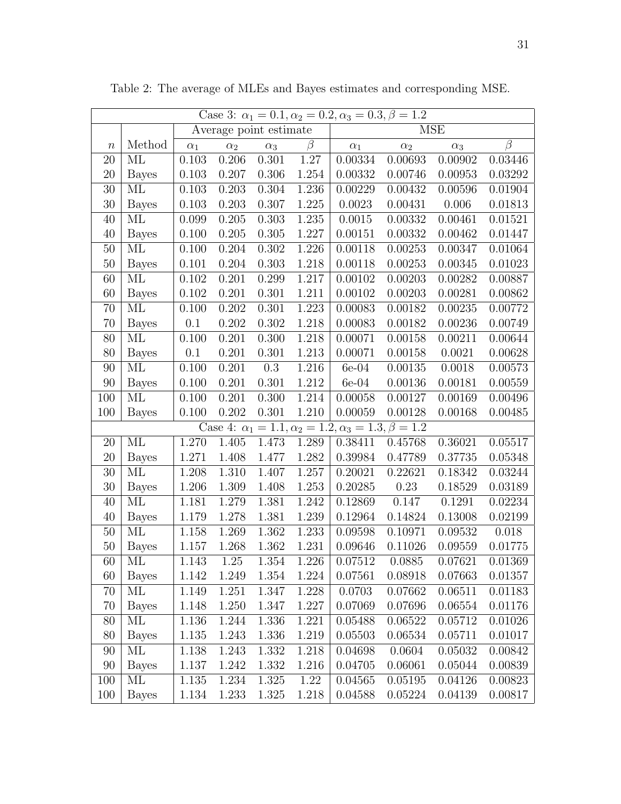| Case 3: $\alpha_1 = 0.1, \alpha_2 = 0.2, \alpha_3 = 0.3, \beta = 1.2$ |              |            |                        |            |         |               |            |            |           |  |
|-----------------------------------------------------------------------|--------------|------------|------------------------|------------|---------|---------------|------------|------------|-----------|--|
|                                                                       |              |            | Average point estimate |            |         | <b>MSE</b>    |            |            |           |  |
| $\, n$                                                                | Method       | $\alpha_1$ | $\alpha_2$             | $\alpha_3$ | $\beta$ | $\alpha_1$    | $\alpha_2$ | $\alpha_3$ | $\beta$   |  |
| 20                                                                    | ML           | 0.103      | 0.206                  | 0.301      | 1.27    | 0.00334       | 0.00693    | 0.00902    | 0.03446   |  |
| 20                                                                    | <b>Bayes</b> | 0.103      | 0.207                  | 0.306      | 1.254   | 0.00332       | 0.00746    | 0.00953    | 0.03292   |  |
| $30\,$                                                                | ML           | 0.103      | 0.203                  | 0.304      | 1.236   | 0.00229       | 0.00432    | 0.00596    | 0.01904   |  |
| 30                                                                    | <b>Bayes</b> | 0.103      | 0.203                  | 0.307      | 1.225   | 0.0023        | 0.00431    | 0.006      | 0.01813   |  |
| 40                                                                    | ML           | 0.099      | 0.205                  | 0.303      | 1.235   | 0.0015        | 0.00332    | 0.00461    | 0.01521   |  |
| 40                                                                    | <b>Bayes</b> | 0.100      | 0.205                  | 0.305      | 1.227   | 0.00151       | 0.00332    | 0.00462    | 0.01447   |  |
| $50\,$                                                                | ML           | 0.100      | 0.204                  | 0.302      | 1.226   | 0.00118       | 0.00253    | 0.00347    | 0.01064   |  |
| $50\,$                                                                | <b>Bayes</b> | 0.101      | 0.204                  | 0.303      | 1.218   | 0.00118       | 0.00253    | 0.00345    | 0.01023   |  |
| 60                                                                    | ML           | 0.102      | 0.201                  | 0.299      | 1.217   | 0.00102       | 0.00203    | 0.00282    | 0.00887   |  |
| 60                                                                    | <b>Bayes</b> | 0.102      | 0.201                  | 0.301      | 1.211   | 0.00102       | 0.00203    | 0.00281    | 0.00862   |  |
| 70                                                                    | ML           | 0.100      | 0.202                  | 0.301      | 1.223   | 0.00083       | 0.00182    | 0.00235    | 0.00772   |  |
| 70                                                                    | <b>Bayes</b> | 0.1        | 0.202                  | 0.302      | 1.218   | 0.00083       | 0.00182    | 0.00236    | 0.00749   |  |
| 80                                                                    | ML           | 0.100      | 0.201                  | 0.300      | 1.218   | 0.00071       | 0.00158    | 0.00211    | 0.00644   |  |
| 80                                                                    | <b>Bayes</b> | 0.1        | 0.201                  | 0.301      | 1.213   | 0.00071       | 0.00158    | 0.0021     | 0.00628   |  |
| 90                                                                    | ML           | 0.100      | 0.201                  | $0.3\,$    | 1.216   | $6e-04$       | 0.00135    | 0.0018     | 0.00573   |  |
| $90\,$                                                                | <b>Bayes</b> | 0.100      | 0.201                  | 0.301      | 1.212   | $6e-04$       | 0.00136    | 0.00181    | 0.00559   |  |
| 100                                                                   | ML           | 0.100      | 0.201                  | 0.300      | 1.214   | 0.00058       | 0.00127    | 0.00169    | 0.00496   |  |
| 100                                                                   | <b>Bayes</b> | 0.100      | $0.202\,$              | 0.301      | 1.210   | 0.00059       | 0.00128    | 0.00168    | 0.00485   |  |
| Case 4: $\alpha_1 = 1.1, \alpha_2 = 1.2, \alpha_3 = 1.3, \beta = 1.2$ |              |            |                        |            |         |               |            |            |           |  |
| 20                                                                    | ML           | 1.270      | 1.405                  | 1.473      | 1.289   | 0.38411       | 0.45768    | 0.36021    | 0.05517   |  |
| $20\,$                                                                | <b>Bayes</b> | 1.271      | 1.408                  | 1.477      | 1.282   | 0.39984       | 0.47789    | 0.37735    | 0.05348   |  |
| $30\,$                                                                | ML           | 1.208      | 1.310                  | 1.407      | 1.257   | 0.20021       | 0.22621    | 0.18342    | 0.03244   |  |
| 30                                                                    | <b>Bayes</b> | 1.206      | 1.309                  | 1.408      | 1.253   | 0.20285       | 0.23       | 0.18529    | 0.03189   |  |
| 40                                                                    | ML           | 1.181      | 1.279                  | 1.381      | 1.242   | 0.12869       | 0.147      | 0.1291     | 0.02234   |  |
| 40                                                                    | <b>Bayes</b> | 1.179      | 1.278                  | 1.381      | 1.239   | 0.12964       | 0.14824    | 0.13008    | 0.02199   |  |
| $50\,$                                                                | ML           | 1.158      | 1.269                  | 1.362      | 1.233   | 0.09598       | 0.10971    | 0.09532    | $0.018\,$ |  |
| $50\,$                                                                | <b>Bayes</b> | 1.157      | 1.268                  | 1.362      | 1.231   | $\,0.09646\,$ | 0.11026    | 0.09559    | 0.01775   |  |
| 60                                                                    | ML           | 1.143      | 1.25                   | $1.354\,$  | 1.226   | 0.07512       | 0.0885     | 0.07621    | 0.01369   |  |
| 60                                                                    | <b>Bayes</b> | 1.142      | 1.249                  | 1.354      | 1.224   | 0.07561       | 0.08918    | 0.07663    | 0.01357   |  |
| 70                                                                    | ML           | 1.149      | 1.251                  | 1.347      | 1.228   | 0.0703        | 0.07662    | 0.06511    | 0.01183   |  |
| 70                                                                    | <b>Bayes</b> | 1.148      | 1.250                  | 1.347      | 1.227   | 0.07069       | 0.07696    | 0.06554    | 0.01176   |  |
| 80                                                                    | ML           | 1.136      | 1.244                  | 1.336      | 1.221   | 0.05488       | 0.06522    | 0.05712    | 0.01026   |  |
| 80                                                                    | <b>Bayes</b> | 1.135      | 1.243                  | 1.336      | 1.219   | 0.05503       | 0.06534    | 0.05711    | 0.01017   |  |
| 90                                                                    | ML           | 1.138      | 1.243                  | 1.332      | 1.218   | 0.04698       | 0.0604     | 0.05032    | 0.00842   |  |
| 90                                                                    | <b>Bayes</b> | 1.137      | 1.242                  | 1.332      | 1.216   | 0.04705       | 0.06061    | 0.05044    | 0.00839   |  |
| 100                                                                   | ML           | 1.135      | 1.234                  | 1.325      | 1.22    | 0.04565       | 0.05195    | 0.04126    | 0.00823   |  |
| 100                                                                   | <b>Bayes</b> | 1.134      | 1.233                  | 1.325      | 1.218   | 0.04588       | 0.05224    | 0.04139    | 0.00817   |  |

<span id="page-30-0"></span>Table 2: The average of MLEs and Bayes estimates and corresponding MSE.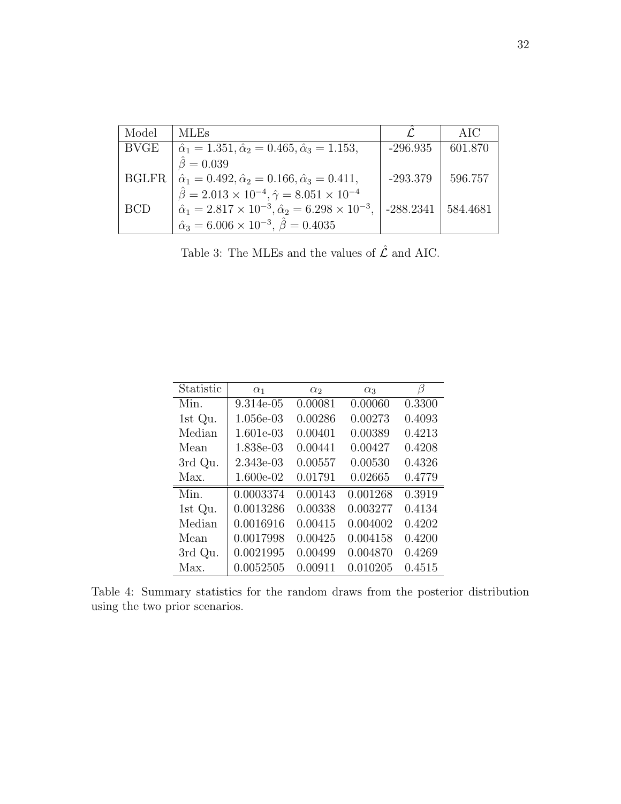| Model      | <b>MLEs</b>                                                                                                                                            |                          | AIC     |
|------------|--------------------------------------------------------------------------------------------------------------------------------------------------------|--------------------------|---------|
| BVGE       | $\hat{\alpha}_1 = 1.351, \hat{\alpha}_2 = 0.465, \hat{\alpha}_3 = 1.153,$                                                                              | $-296.935$               | 601.870 |
|            | $= 0.039$                                                                                                                                              |                          |         |
| BGLFR      | $\hat{\alpha}_1 = 0.492, \hat{\alpha}_2 = 0.166, \hat{\alpha}_3 = 0.411,$<br>$\hat{\beta} = 2.013 \times 10^{-4}, \hat{\gamma} = 8.051 \times 10^{-4}$ | $-293.379$               | 596.757 |
|            |                                                                                                                                                        |                          |         |
| <b>BCD</b> | $\hat{\alpha}_1 = 2.817 \times 10^{-3}, \hat{\alpha}_2 = 6.298 \times 10^{-3},$                                                                        | $-288.2341$   $584.4681$ |         |
|            | $\hat{\alpha}_3 = 6.006 \times 10^{-3}, \hat{\beta} = 0.4035$                                                                                          |                          |         |

Table 3: The MLEs and the values of  $\hat{\mathcal{L}}$  and AIC.

<span id="page-31-0"></span>

| Statistic | $\alpha_1$ | $\alpha_2$ | $\alpha_3$ | β      |
|-----------|------------|------------|------------|--------|
| Min.      | 9.314e-05  | 0.00081    | 0.00060    | 0.3300 |
| 1st Qu.   | 1.056e-03  | 0.00286    | 0.00273    | 0.4093 |
| Median    | 1.601e-03  | 0.00401    | 0.00389    | 0.4213 |
| Mean      | 1.838e-03  | 0.00441    | 0.00427    | 0.4208 |
| 3rd Qu.   | 2.343e-03  | 0.00557    | 0.00530    | 0.4326 |
| Max.      | 1.600e-02  | 0.01791    | 0.02665    | 0.4779 |
| Min.      | 0.0003374  | 0.00143    | 0.001268   | 0.3919 |
| 1st Qu.   | 0.0013286  | 0.00338    | 0.003277   | 0.4134 |
| Median    | 0.0016916  | 0.00415    | 0.004002   | 0.4202 |
| Mean      | 0.0017998  | 0.00425    | 0.004158   | 0.4200 |
| 3rd Qu.   | 0.0021995  | 0.00499    | 0.004870   | 0.4269 |
| Max.      | 0.0052505  | 0.00911    | 0.010205   | 0.4515 |

Table 4: Summary statistics for the random draws from the posterior distribution using the two prior scenarios.